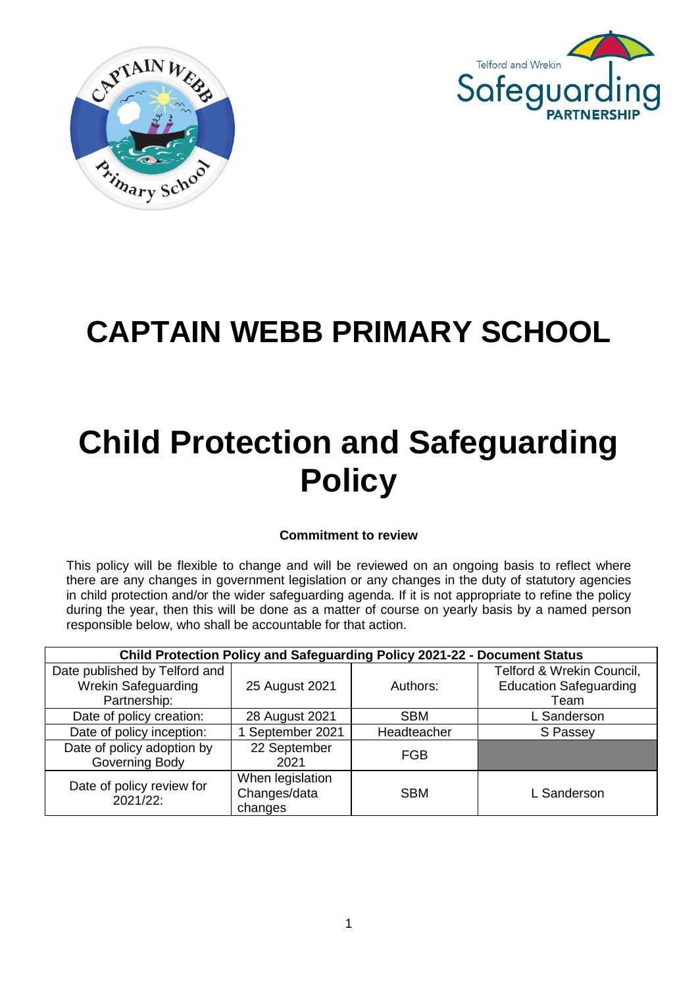



# **CAPTAIN WEBB PRIMARY SCHOOL**

# **Child Protection and Safeguarding Policy**

# **Commitment to review**

This policy will be flexible to change and will be reviewed on an ongoing basis to reflect where there are any changes in government legislation or any changes in the duty of statutory agencies in child protection and/or the wider safeguarding agenda. If it is not appropriate to refine the policy during the year, then this will be done as a matter of course on yearly basis by a named person responsible below, who shall be accountable for that action.

| Child Protection Policy and Safeguarding Policy 2021-22 - Document Status |                                             |             |                               |  |  |  |  |  |
|---------------------------------------------------------------------------|---------------------------------------------|-------------|-------------------------------|--|--|--|--|--|
| Date published by Telford and                                             |                                             |             | Telford & Wrekin Council,     |  |  |  |  |  |
| <b>Wrekin Safeguarding</b>                                                | 25 August 2021                              | Authors:    | <b>Education Safeguarding</b> |  |  |  |  |  |
| Partnership:                                                              |                                             |             | Team                          |  |  |  |  |  |
| Date of policy creation:                                                  | 28 August 2021                              | <b>SBM</b>  | L Sanderson                   |  |  |  |  |  |
| Date of policy inception:                                                 | September 2021                              | Headteacher | S Passey                      |  |  |  |  |  |
| Date of policy adoption by<br>Governing Body                              | 22 September<br>2021                        | <b>FGB</b>  |                               |  |  |  |  |  |
| Date of policy review for<br>2021/22:                                     | When legislation<br>Changes/data<br>changes | <b>SBM</b>  | L Sanderson                   |  |  |  |  |  |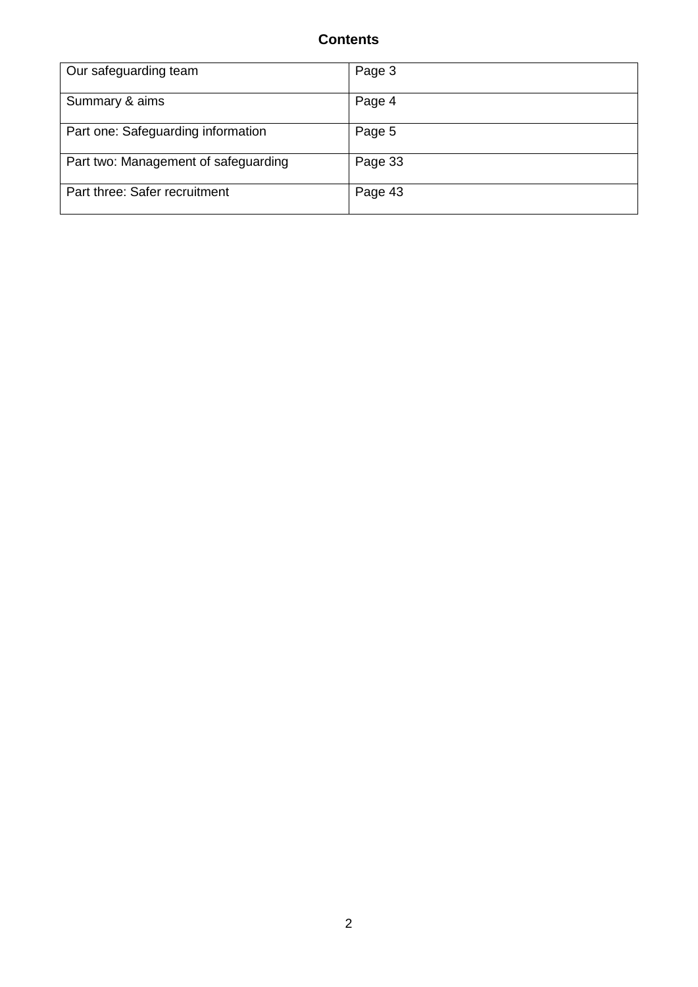# **Contents**

| Our safeguarding team                | Page 3  |
|--------------------------------------|---------|
| Summary & aims                       | Page 4  |
| Part one: Safeguarding information   | Page 5  |
| Part two: Management of safeguarding | Page 33 |
| Part three: Safer recruitment        | Page 43 |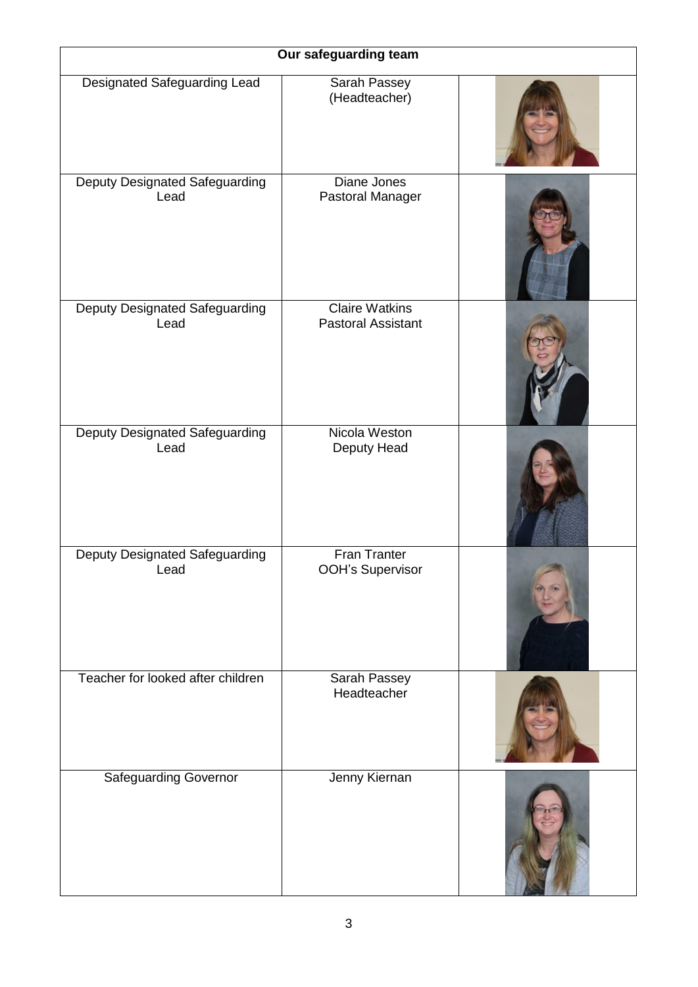| Our safeguarding team                         |                                                    |  |  |  |  |  |
|-----------------------------------------------|----------------------------------------------------|--|--|--|--|--|
| <b>Designated Safeguarding Lead</b>           | Sarah Passey<br>(Headteacher)                      |  |  |  |  |  |
| Deputy Designated Safeguarding<br>Lead        | Diane Jones<br>Pastoral Manager                    |  |  |  |  |  |
| Deputy Designated Safeguarding<br>Lead        | <b>Claire Watkins</b><br><b>Pastoral Assistant</b> |  |  |  |  |  |
| Deputy Designated Safeguarding<br>Lead        | Nicola Weston<br>Deputy Head                       |  |  |  |  |  |
| <b>Deputy Designated Safeguarding</b><br>Lead | <b>Fran Tranter</b><br><b>OOH's Supervisor</b>     |  |  |  |  |  |
| Teacher for looked after children             | Sarah Passey<br>Headteacher                        |  |  |  |  |  |
| <b>Safeguarding Governor</b>                  | Jenny Kiernan                                      |  |  |  |  |  |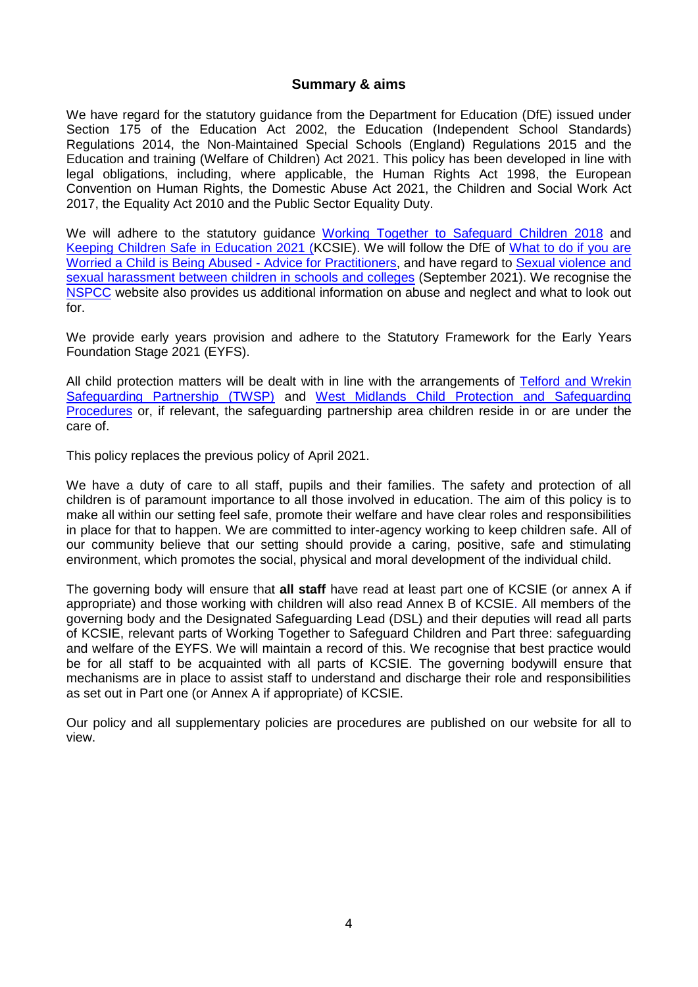## **Summary & aims**

We have regard for the statutory quidance from the Department for Education (DfE) issued under Section 175 of the Education Act 2002, the Education (Independent School Standards) Regulations 2014, the Non-Maintained Special Schools (England) Regulations 2015 and the Education and training (Welfare of Children) Act 2021. This policy has been developed in line with legal obligations, including, where applicable, the Human Rights Act 1998, the European Convention on Human Rights, the Domestic Abuse Act 2021, the Children and Social Work Act 2017, the Equality Act 2010 and the Public Sector Equality Duty.

We will adhere to the statutory guidance [Working Together to Safeguard Children 2018](https://www.gov.uk/government/publications/working-together-to-safeguard-children--2) and Keeping [Children Safe in Education 2021](https://www.gov.uk/government/publications/keeping-children-safe-in-education--2) (KCSIE). We will follow the DfE of [What to do if you are](https://www.gov.uk/government/publications/what-to-do-if-youre-worried-a-child-is-being-abused--2)  [Worried a Child is Being Abused -](https://www.gov.uk/government/publications/what-to-do-if-youre-worried-a-child-is-being-abused--2) Advice for Practitioners, and have regard to [Sexual violence and](https://www.gov.uk/government/publications/sexual-violence-and-sexual-harassment-between-children-in-schools-and-colleges)  [sexual harassment between children in schools and colleges](https://www.gov.uk/government/publications/sexual-violence-and-sexual-harassment-between-children-in-schools-and-colleges) (September 2021). We recognise the [NSPCC](https://www.nspcc.org.uk/support-us/ways-to-give/donate/?source=ppc-brand&gclsrc=aw.ds&ds_rl=1279303&ds_rl=1279303&gclid=EAIaIQobChMI1PP3q6Wi6wIVmK3tCh1x_QvxEAAYASAAEgKCLPD_BwE&gclsrc=aw.ds) website also provides us additional information on abuse and neglect and what to look out for.

We provide early years provision and adhere to the Statutory Framework for the Early Years Foundation Stage 2021 (EYFS).

All child protection matters will be dealt with in line with the arrangements of Telford and Wrekin [Safeguarding Partnership \(TWSP\)](https://www.telfordsafeguardingboard.org.uk/info/13/i_work_with_children_young_people_and_parents/20/policies_procedures_and_guidance) and [West Midlands Child Protection and Safeguarding](http://westmidlands.procedures.org.uk/)  [Procedures](http://westmidlands.procedures.org.uk/) or, if relevant, the safeguarding partnership area children reside in or are under the care of.

This policy replaces the previous policy of April 2021.

We have a duty of care to all staff, pupils and their families. The safety and protection of all children is of paramount importance to all those involved in education. The aim of this policy is to make all within our setting feel safe, promote their welfare and have clear roles and responsibilities in place for that to happen. We are committed to inter-agency working to keep children safe. All of our community believe that our setting should provide a caring, positive, safe and stimulating environment, which promotes the social, physical and moral development of the individual child.

The governing body will ensure that **all staff** have read at least part one of KCSIE (or annex A if appropriate) and those working with children will also read Annex B of KCSIE. All members of the governing body and the Designated Safeguarding Lead (DSL) and their deputies will read all parts of KCSIE, relevant parts of Working Together to Safeguard Children and Part three: safeguarding and welfare of the EYFS. We will maintain a record of this. We recognise that best practice would be for all staff to be acquainted with all parts of KCSIE. The governing bodywill ensure that mechanisms are in place to assist staff to understand and discharge their role and responsibilities as set out in Part one (or Annex A if appropriate) of KCSIE.

Our policy and all supplementary policies are procedures are published on our website for all to view.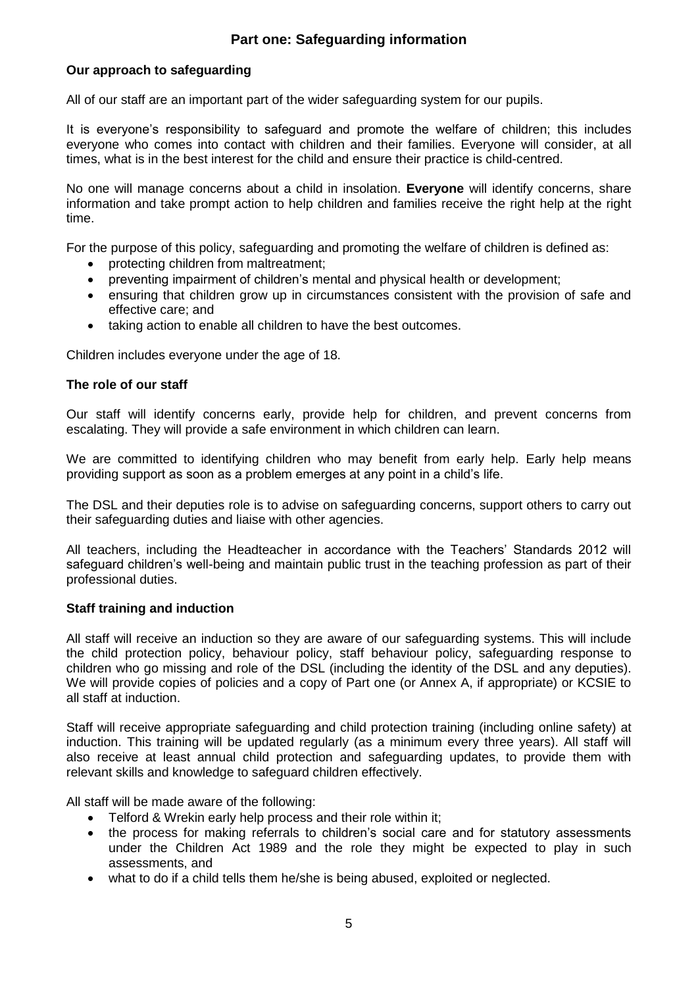# **Part one: Safeguarding information**

# **Our approach to safeguarding**

All of our staff are an important part of the wider safeguarding system for our pupils.

It is everyone's responsibility to safeguard and promote the welfare of children; this includes everyone who comes into contact with children and their families. Everyone will consider, at all times, what is in the best interest for the child and ensure their practice is child-centred.

No one will manage concerns about a child in insolation. **Everyone** will identify concerns, share information and take prompt action to help children and families receive the right help at the right time.

For the purpose of this policy, safeguarding and promoting the welfare of children is defined as:

- protecting children from maltreatment;
- preventing impairment of children's mental and physical health or development;
- ensuring that children grow up in circumstances consistent with the provision of safe and effective care; and
- taking action to enable all children to have the best outcomes.

Children includes everyone under the age of 18.

#### **The role of our staff**

Our staff will identify concerns early, provide help for children, and prevent concerns from escalating. They will provide a safe environment in which children can learn.

We are committed to identifying children who may benefit from early help. Early help means providing support as soon as a problem emerges at any point in a child's life.

The DSL and their deputies role is to advise on safeguarding concerns, support others to carry out their safeguarding duties and liaise with other agencies.

All teachers, including the Headteacher in accordance with the Teachers' Standards 2012 will safeguard children's well-being and maintain public trust in the teaching profession as part of their professional duties.

#### **Staff training and induction**

All staff will receive an induction so they are aware of our safeguarding systems. This will include the child protection policy, behaviour policy, staff behaviour policy, safeguarding response to children who go missing and role of the DSL (including the identity of the DSL and any deputies). We will provide copies of policies and a copy of Part one (or Annex A, if appropriate) or KCSIE to all staff at induction.

Staff will receive appropriate safeguarding and child protection training (including online safety) at induction. This training will be updated regularly (as a minimum every three years). All staff will also receive at least annual child protection and safeguarding updates, to provide them with relevant skills and knowledge to safeguard children effectively.

All staff will be made aware of the following:

- Telford & Wrekin early help process and their role within it;
- the process for making referrals to children's social care and for statutory assessments under the Children Act 1989 and the role they might be expected to play in such assessments, and
- what to do if a child tells them he/she is being abused, exploited or neglected.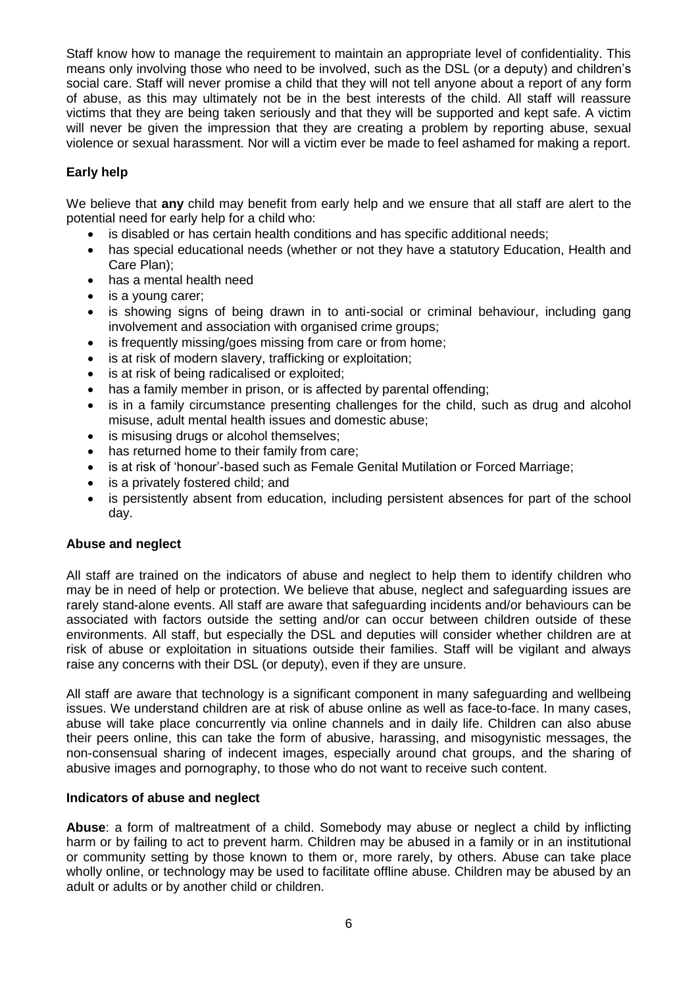Staff know how to manage the requirement to maintain an appropriate level of confidentiality. This means only involving those who need to be involved, such as the DSL (or a deputy) and children's social care. Staff will never promise a child that they will not tell anyone about a report of any form of abuse, as this may ultimately not be in the best interests of the child. All staff will reassure victims that they are being taken seriously and that they will be supported and kept safe. A victim will never be given the impression that they are creating a problem by reporting abuse, sexual violence or sexual harassment. Nor will a victim ever be made to feel ashamed for making a report.

# **Early help**

We believe that **any** child may benefit from early help and we ensure that all staff are alert to the potential need for early help for a child who:

- is disabled or has certain health conditions and has specific additional needs:
- has special educational needs (whether or not they have a statutory Education, Health and Care Plan);
- has a mental health need
- is a young carer;
- is showing signs of being drawn in to anti-social or criminal behaviour, including gang involvement and association with organised crime groups;
- is frequently missing/goes missing from care or from home;
- is at risk of modern slavery, trafficking or exploitation;
- is at risk of being radicalised or exploited;
- has a family member in prison, or is affected by parental offending;
- is in a family circumstance presenting challenges for the child, such as drug and alcohol misuse, adult mental health issues and domestic abuse;
- is misusing drugs or alcohol themselves;
- has returned home to their family from care;
- is at risk of 'honour'-based such as Female Genital Mutilation or Forced Marriage;
- is a privately fostered child; and
- is persistently absent from education, including persistent absences for part of the school day.

# **Abuse and neglect**

All staff are trained on the indicators of abuse and neglect to help them to identify children who may be in need of help or protection. We believe that abuse, neglect and safeguarding issues are rarely stand-alone events. All staff are aware that safeguarding incidents and/or behaviours can be associated with factors outside the setting and/or can occur between children outside of these environments. All staff, but especially the DSL and deputies will consider whether children are at risk of abuse or exploitation in situations outside their families. Staff will be vigilant and always raise any concerns with their DSL (or deputy), even if they are unsure.

All staff are aware that technology is a significant component in many safeguarding and wellbeing issues. We understand children are at risk of abuse online as well as face-to-face. In many cases, abuse will take place concurrently via online channels and in daily life. Children can also abuse their peers online, this can take the form of abusive, harassing, and misogynistic messages, the non-consensual sharing of indecent images, especially around chat groups, and the sharing of abusive images and pornography, to those who do not want to receive such content.

# **Indicators of abuse and neglect**

**Abuse**: a form of maltreatment of a child. Somebody may abuse or neglect a child by inflicting harm or by failing to act to prevent harm. Children may be abused in a family or in an institutional or community setting by those known to them or, more rarely, by others. Abuse can take place wholly online, or technology may be used to facilitate offline abuse. Children may be abused by an adult or adults or by another child or children.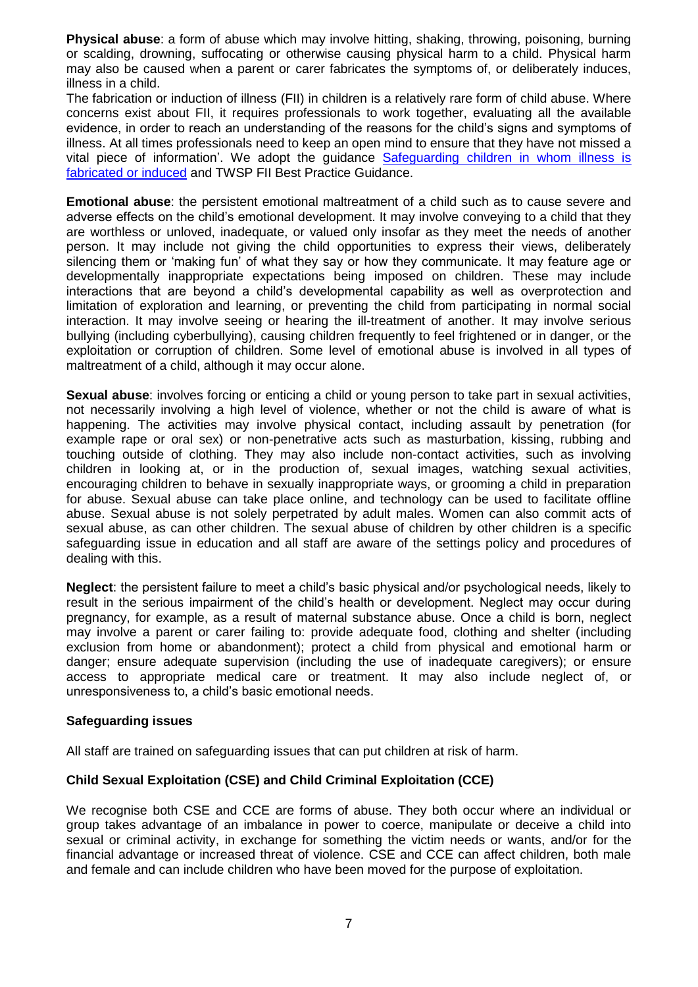**Physical abuse**: a form of abuse which may involve hitting, shaking, throwing, poisoning, burning or scalding, drowning, suffocating or otherwise causing physical harm to a child. Physical harm may also be caused when a parent or carer fabricates the symptoms of, or deliberately induces, illness in a child.

The fabrication or induction of illness (FII) in children is a relatively rare form of child abuse. Where concerns exist about FII, it requires professionals to work together, evaluating all the available evidence, in order to reach an understanding of the reasons for the child's signs and symptoms of illness. At all times professionals need to keep an open mind to ensure that they have not missed a vital piece of information'. We adopt the guidance **Safeguarding children in whom illness is** [fabricated or induced](https://www.gov.uk/government/publications/safeguarding-children-in-whom-illness-is-fabricated-or-induced) and TWSP FII Best Practice Guidance.

**Emotional abuse**: the persistent emotional maltreatment of a child such as to cause severe and adverse effects on the child's emotional development. It may involve conveying to a child that they are worthless or unloved, inadequate, or valued only insofar as they meet the needs of another person. It may include not giving the child opportunities to express their views, deliberately silencing them or 'making fun' of what they say or how they communicate. It may feature age or developmentally inappropriate expectations being imposed on children. These may include interactions that are beyond a child's developmental capability as well as overprotection and limitation of exploration and learning, or preventing the child from participating in normal social interaction. It may involve seeing or hearing the ill-treatment of another. It may involve serious bullying (including cyberbullying), causing children frequently to feel frightened or in danger, or the exploitation or corruption of children. Some level of emotional abuse is involved in all types of maltreatment of a child, although it may occur alone.

**Sexual abuse**: involves forcing or enticing a child or young person to take part in sexual activities, not necessarily involving a high level of violence, whether or not the child is aware of what is happening. The activities may involve physical contact, including assault by penetration (for example rape or oral sex) or non-penetrative acts such as masturbation, kissing, rubbing and touching outside of clothing. They may also include non-contact activities, such as involving children in looking at, or in the production of, sexual images, watching sexual activities, encouraging children to behave in sexually inappropriate ways, or grooming a child in preparation for abuse. Sexual abuse can take place online, and technology can be used to facilitate offline abuse. Sexual abuse is not solely perpetrated by adult males. Women can also commit acts of sexual abuse, as can other children. The sexual abuse of children by other children is a specific safeguarding issue in education and all staff are aware of the settings policy and procedures of dealing with this.

**Neglect**: the persistent failure to meet a child's basic physical and/or psychological needs, likely to result in the serious impairment of the child's health or development. Neglect may occur during pregnancy, for example, as a result of maternal substance abuse. Once a child is born, neglect may involve a parent or carer failing to: provide adequate food, clothing and shelter (including exclusion from home or abandonment); protect a child from physical and emotional harm or danger; ensure adequate supervision (including the use of inadequate caregivers); or ensure access to appropriate medical care or treatment. It may also include neglect of, or unresponsiveness to, a child's basic emotional needs.

# **Safeguarding issues**

All staff are trained on safeguarding issues that can put children at risk of harm.

# **Child Sexual Exploitation (CSE) and Child Criminal Exploitation (CCE)**

We recognise both CSE and CCE are forms of abuse. They both occur where an individual or group takes advantage of an imbalance in power to coerce, manipulate or deceive a child into sexual or criminal activity, in exchange for something the victim needs or wants, and/or for the financial advantage or increased threat of violence. CSE and CCE can affect children, both male and female and can include children who have been moved for the purpose of exploitation.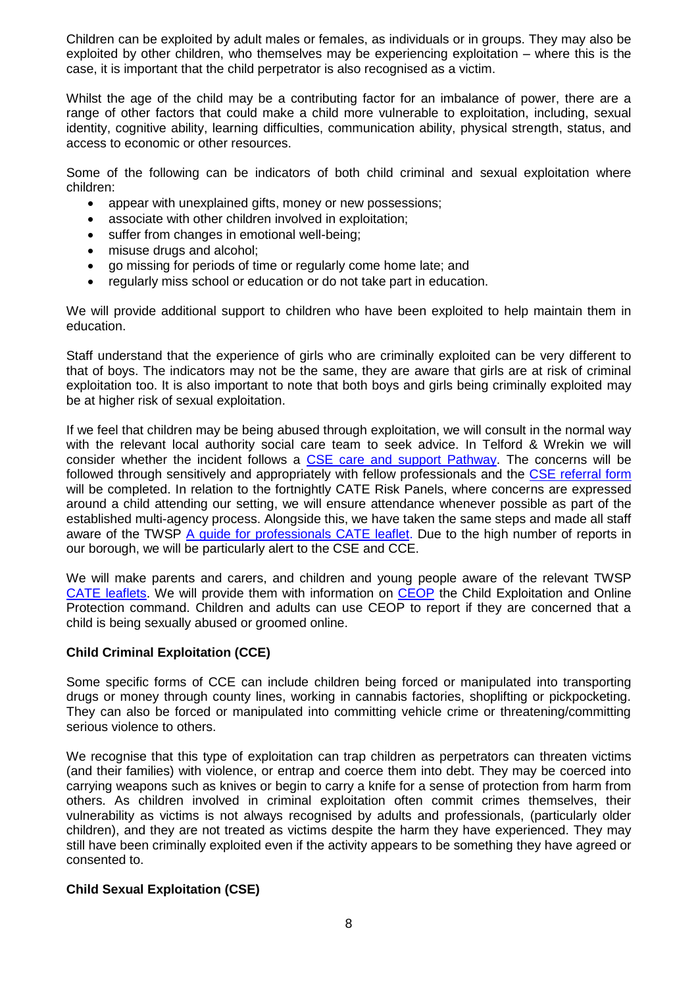Children can be exploited by adult males or females, as individuals or in groups. They may also be exploited by other children, who themselves may be experiencing exploitation – where this is the case, it is important that the child perpetrator is also recognised as a victim.

Whilst the age of the child may be a contributing factor for an imbalance of power, there are a range of other factors that could make a child more vulnerable to exploitation, including, sexual identity, cognitive ability, learning difficulties, communication ability, physical strength, status, and access to economic or other resources.

Some of the following can be indicators of both child criminal and sexual exploitation where children:

- appear with unexplained gifts, money or new possessions:
- associate with other children involved in exploitation;
- suffer from changes in emotional well-being;
- misuse drugs and alcohol;
- go missing for periods of time or regularly come home late; and
- regularly miss school or education or do not take part in education.

We will provide additional support to children who have been exploited to help maintain them in education.

Staff understand that the experience of girls who are criminally exploited can be very different to that of boys. The indicators may not be the same, they are aware that girls are at risk of criminal exploitation too. It is also important to note that both boys and girls being criminally exploited may be at higher risk of sexual exploitation.

If we feel that children may be being abused through exploitation, we will consult in the normal way with the relevant local authority social care team to seek advice. In Telford & Wrekin we will consider whether the incident follows a [CSE care and support Pathway.](https://westmidlands.procedures.org.uk/local-content/4cjN/exploitation-tools-and-pathways/?b=Telford+%26+Wrekin) The concerns will be followed through sensitively and appropriately with fellow professionals and the CSE referral form will be completed. In relation to the fortnightly CATE Risk Panels, where concerns are expressed around a child attending our setting, we will ensure attendance whenever possible as part of the established multi-agency process. Alongside this, we have taken the same steps and made all staff aware of the TWSP [A guide for professionals CATE leaflet.](https://westmidlands.procedures.org.uk/local-content/4cjN/exploitation-tools-and-pathways/?b=Telford+%26+Wrekin) Due to the high number of reports in our borough, we will be particularly alert to the CSE and CCE.

We will make parents and carers, and children and young people aware of the relevant TWSP [CATE leaflets.](https://westmidlands.procedures.org.uk/local-content/4cjN/exploitation-tools-and-pathways/?b=Telford+%26+Wrekin) We will provide them with information on [CEOP](https://www.ceop.police.uk/Safety-Centre/Should-I-make-a-report-to-CEOP-YP/) the Child Exploitation and Online Protection command. Children and adults can use CEOP to report if they are concerned that a child is being sexually abused or groomed online.

# **Child Criminal Exploitation (CCE)**

Some specific forms of CCE can include children being forced or manipulated into transporting drugs or money through county lines, working in cannabis factories, shoplifting or pickpocketing. They can also be forced or manipulated into committing vehicle crime or threatening/committing serious violence to others.

We recognise that this type of exploitation can trap children as perpetrators can threaten victims (and their families) with violence, or entrap and coerce them into debt. They may be coerced into carrying weapons such as knives or begin to carry a knife for a sense of protection from harm from others. As children involved in criminal exploitation often commit crimes themselves, their vulnerability as victims is not always recognised by adults and professionals, (particularly older children), and they are not treated as victims despite the harm they have experienced. They may still have been criminally exploited even if the activity appears to be something they have agreed or consented to.

# **Child Sexual Exploitation (CSE)**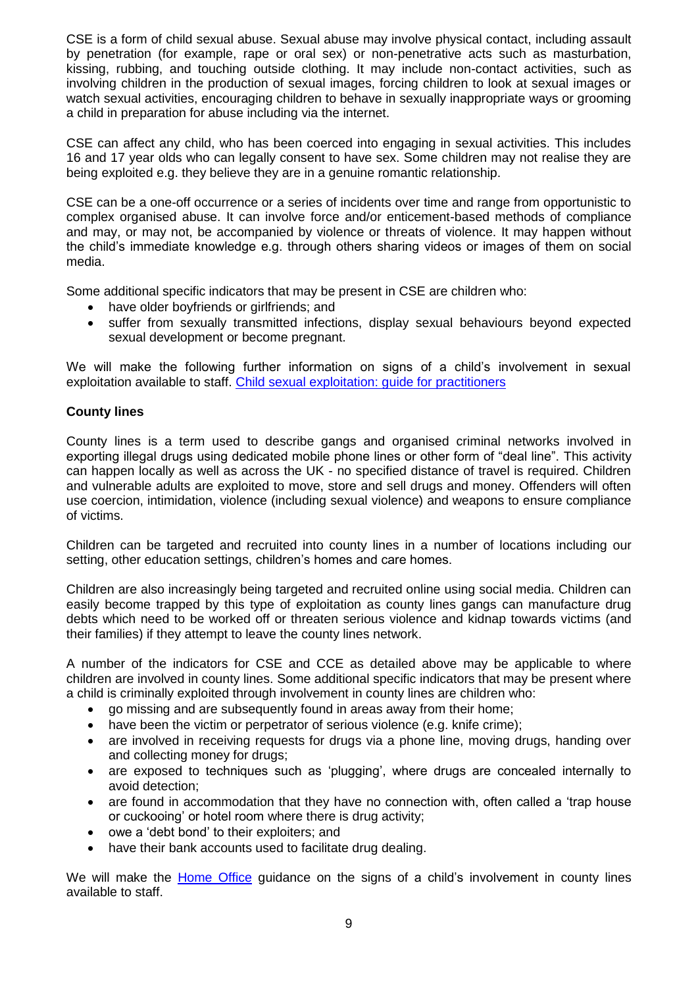CSE is a form of child sexual abuse. Sexual abuse may involve physical contact, including assault by penetration (for example, rape or oral sex) or non-penetrative acts such as masturbation, kissing, rubbing, and touching outside clothing. It may include non-contact activities, such as involving children in the production of sexual images, forcing children to look at sexual images or watch sexual activities, encouraging children to behave in sexually inappropriate ways or grooming a child in preparation for abuse including via the internet.

CSE can affect any child, who has been coerced into engaging in sexual activities. This includes 16 and 17 year olds who can legally consent to have sex. Some children may not realise they are being exploited e.g. they believe they are in a genuine romantic relationship.

CSE can be a one-off occurrence or a series of incidents over time and range from opportunistic to complex organised abuse. It can involve force and/or enticement-based methods of compliance and may, or may not, be accompanied by violence or threats of violence. It may happen without the child's immediate knowledge e.g. through others sharing videos or images of them on social media.

Some additional specific indicators that may be present in CSE are children who:

- have older bovfriends or girlfriends; and
- suffer from sexually transmitted infections, display sexual behaviours beyond expected sexual development or become pregnant.

We will make the following further information on signs of a child's involvement in sexual exploitation available to staff. [Child sexual exploitation: guide for practitioners](https://www.gov.uk/government/publications/child-sexual-exploitation-definition-and-guide-for-practitioners)

# **County lines**

County lines is a term used to describe gangs and organised criminal networks involved in exporting illegal drugs using dedicated mobile phone lines or other form of "deal line". This activity can happen locally as well as across the UK - no specified distance of travel is required. Children and vulnerable adults are exploited to move, store and sell drugs and money. Offenders will often use coercion, intimidation, violence (including sexual violence) and weapons to ensure compliance of victims.

Children can be targeted and recruited into county lines in a number of locations including our setting, other education settings, children's homes and care homes.

Children are also increasingly being targeted and recruited online using social media. Children can easily become trapped by this type of exploitation as county lines gangs can manufacture drug debts which need to be worked off or threaten serious violence and kidnap towards victims (and their families) if they attempt to leave the county lines network.

A number of the indicators for CSE and CCE as detailed above may be applicable to where children are involved in county lines. Some additional specific indicators that may be present where a child is criminally exploited through involvement in county lines are children who:

- go missing and are subsequently found in areas away from their home;
- have been the victim or perpetrator of serious violence (e.g. knife crime);
- are involved in receiving requests for drugs via a phone line, moving drugs, handing over and collecting money for drugs;
- are exposed to techniques such as 'plugging', where drugs are concealed internally to avoid detection;
- are found in accommodation that they have no connection with, often called a 'trap house or cuckooing' or hotel room where there is drug activity;
- owe a 'debt bond' to their exploiters; and
- have their bank accounts used to facilitate drug dealing.

We will make the [Home Office](https://assets.publishing.service.gov.uk/government/uploads/system/uploads/attachment_data/file/863323/HOCountyLinesGuidance_-_Sept2018.pdf) guidance on the signs of a child's involvement in county lines available to staff.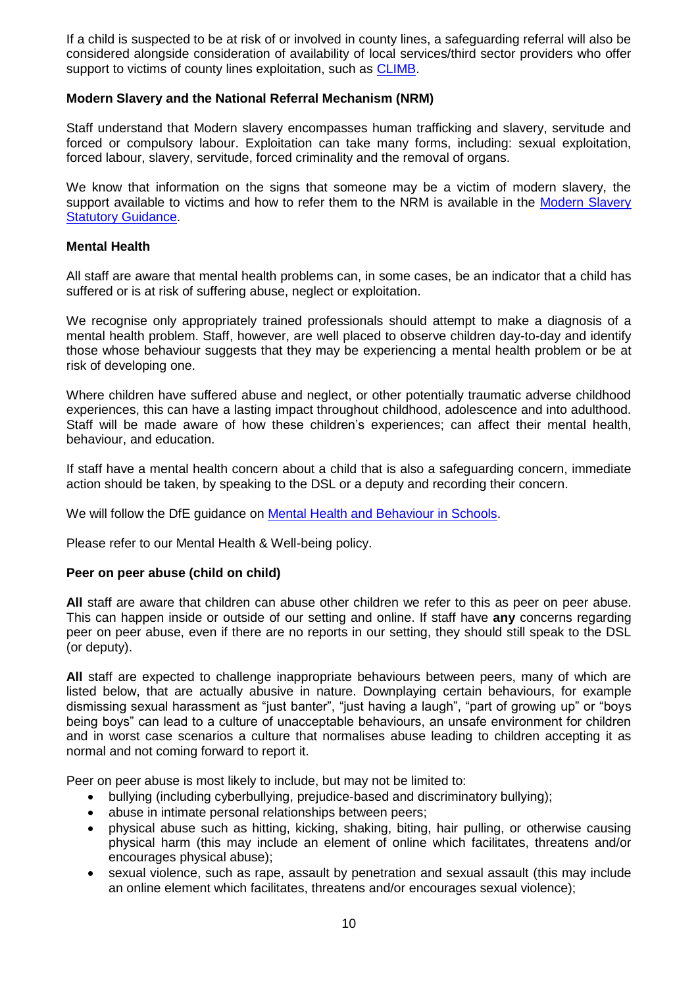If a child is suspected to be at risk of or involved in county lines, a safeguarding referral will also be considered alongside consideration of availability of local services/third sector providers who offer support to victims of county lines exploitation, such as [CLIMB.](https://www.childrenssociety.org.uk/what-we-do/our-services/climb)

# **Modern Slavery and the National Referral Mechanism (NRM)**

Staff understand that Modern slavery encompasses human trafficking and slavery, servitude and forced or compulsory labour. Exploitation can take many forms, including: sexual exploitation, forced labour, slavery, servitude, forced criminality and the removal of organs.

We know that information on the signs that someone may be a victim of modern slavery, the support available to victims and how to refer them to the NRM is available in the Modern Slavery [Statutory Guidance.](https://www.gov.uk/government/collections/modern-slavery)

# **Mental Health**

All staff are aware that mental health problems can, in some cases, be an indicator that a child has suffered or is at risk of suffering abuse, neglect or exploitation.

We recognise only appropriately trained professionals should attempt to make a diagnosis of a mental health problem. Staff, however, are well placed to observe children day-to-day and identify those whose behaviour suggests that they may be experiencing a mental health problem or be at risk of developing one.

Where children have suffered abuse and neglect, or other potentially traumatic adverse childhood experiences, this can have a lasting impact throughout childhood, adolescence and into adulthood. Staff will be made aware of how these children's experiences; can affect their mental health, behaviour, and education.

If staff have a mental health concern about a child that is also a safeguarding concern, immediate action should be taken, by speaking to the DSL or a deputy and recording their concern.

We will follow the DfE guidance on **Mental Health and Behaviour in Schools**.

Please refer to our Mental Health & Well-being policy.

# **Peer on peer abuse (child on child)**

**All** staff are aware that children can abuse other children we refer to this as peer on peer abuse. This can happen inside or outside of our setting and online. If staff have **any** concerns regarding peer on peer abuse, even if there are no reports in our setting, they should still speak to the DSL (or deputy).

**All** staff are expected to challenge inappropriate behaviours between peers, many of which are listed below, that are actually abusive in nature. Downplaying certain behaviours, for example dismissing sexual harassment as "just banter", "just having a laugh", "part of growing up" or "boys being boys" can lead to a culture of unacceptable behaviours, an unsafe environment for children and in worst case scenarios a culture that normalises abuse leading to children accepting it as normal and not coming forward to report it.

Peer on peer abuse is most likely to include, but may not be limited to:

- bullying (including cyberbullying, prejudice-based and discriminatory bullying);
- abuse in intimate personal relationships between peers;
- physical abuse such as hitting, kicking, shaking, biting, hair pulling, or otherwise causing physical harm (this may include an element of online which facilitates, threatens and/or encourages physical abuse);
- sexual violence, such as rape, assault by penetration and sexual assault (this may include an online element which facilitates, threatens and/or encourages sexual violence);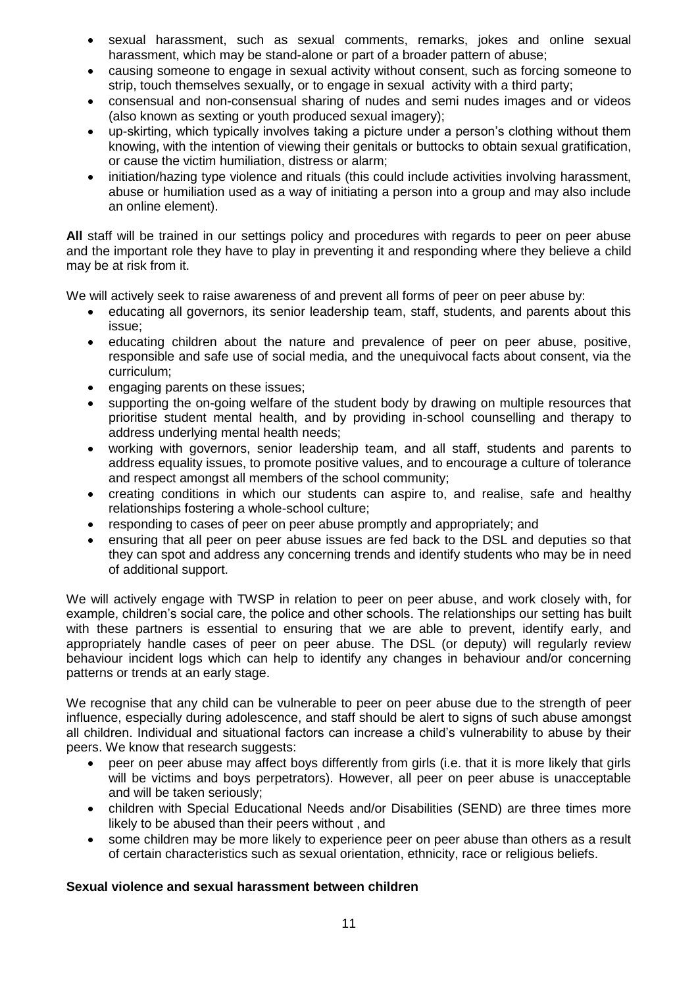- sexual harassment, such as sexual comments, remarks, jokes and online sexual harassment, which may be stand-alone or part of a broader pattern of abuse;
- causing someone to engage in sexual activity without consent, such as forcing someone to strip, touch themselves sexually, or to engage in sexual activity with a third party;
- consensual and non-consensual sharing of nudes and semi nudes images and or videos (also known as sexting or youth produced sexual imagery);
- up-skirting, which typically involves taking a picture under a person's clothing without them knowing, with the intention of viewing their genitals or buttocks to obtain sexual gratification, or cause the victim humiliation, distress or alarm;
- initiation/hazing type violence and rituals (this could include activities involving harassment, abuse or humiliation used as a way of initiating a person into a group and may also include an online element).

**All** staff will be trained in our settings policy and procedures with regards to peer on peer abuse and the important role they have to play in preventing it and responding where they believe a child may be at risk from it.

We will actively seek to raise awareness of and prevent all forms of peer on peer abuse by:

- educating all governors, its senior leadership team, staff, students, and parents about this issue;
- educating children about the nature and prevalence of peer on peer abuse, positive, responsible and safe use of social media, and the unequivocal facts about consent, via the curriculum;
- engaging parents on these issues;
- supporting the on-going welfare of the student body by drawing on multiple resources that prioritise student mental health, and by providing in-school counselling and therapy to address underlying mental health needs;
- working with governors, senior leadership team, and all staff, students and parents to address equality issues, to promote positive values, and to encourage a culture of tolerance and respect amongst all members of the school community;
- creating conditions in which our students can aspire to, and realise, safe and healthy relationships fostering a whole-school culture;
- responding to cases of peer on peer abuse promptly and appropriately; and
- ensuring that all peer on peer abuse issues are fed back to the DSL and deputies so that they can spot and address any concerning trends and identify students who may be in need of additional support.

We will actively engage with TWSP in relation to peer on peer abuse, and work closely with, for example, children's social care, the police and other schools. The relationships our setting has built with these partners is essential to ensuring that we are able to prevent, identify early, and appropriately handle cases of peer on peer abuse. The DSL (or deputy) will regularly review behaviour incident logs which can help to identify any changes in behaviour and/or concerning patterns or trends at an early stage.

We recognise that any child can be vulnerable to peer on peer abuse due to the strength of peer influence, especially during adolescence, and staff should be alert to signs of such abuse amongst all children. Individual and situational factors can increase a child's vulnerability to abuse by their peers. We know that research suggests:

- peer on peer abuse may affect boys differently from girls (i.e. that it is more likely that girls will be victims and boys perpetrators). However, all peer on peer abuse is unacceptable and will be taken seriously;
- children with Special Educational Needs and/or Disabilities (SEND) are three times more likely to be abused than their peers without , and
- some children may be more likely to experience peer on peer abuse than others as a result of certain characteristics such as sexual orientation, ethnicity, race or religious beliefs.

# **Sexual violence and sexual harassment between children**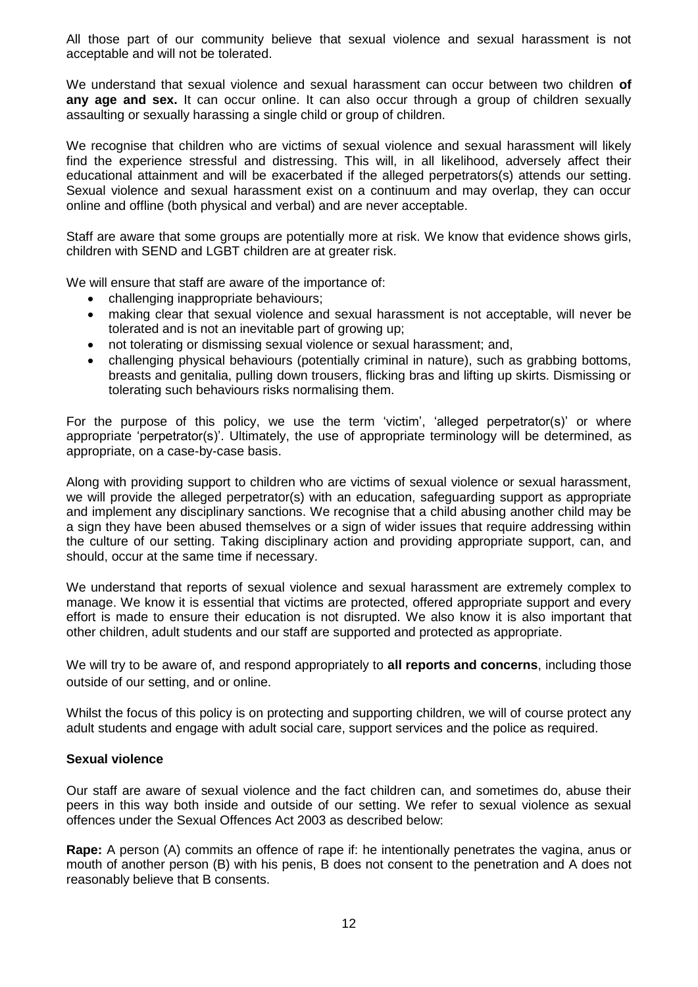All those part of our community believe that sexual violence and sexual harassment is not acceptable and will not be tolerated.

We understand that sexual violence and sexual harassment can occur between two children **of any age and sex.** It can occur online. It can also occur through a group of children sexually assaulting or sexually harassing a single child or group of children.

We recognise that children who are victims of sexual violence and sexual harassment will likely find the experience stressful and distressing. This will, in all likelihood, adversely affect their educational attainment and will be exacerbated if the alleged perpetrators(s) attends our setting. Sexual violence and sexual harassment exist on a continuum and may overlap, they can occur online and offline (both physical and verbal) and are never acceptable.

Staff are aware that some groups are potentially more at risk. We know that evidence shows girls, children with SEND and LGBT children are at greater risk.

We will ensure that staff are aware of the importance of:

- challenging inappropriate behaviours;
- making clear that sexual violence and sexual harassment is not acceptable, will never be tolerated and is not an inevitable part of growing up:
- not tolerating or dismissing sexual violence or sexual harassment; and,
- challenging physical behaviours (potentially criminal in nature), such as grabbing bottoms, breasts and genitalia, pulling down trousers, flicking bras and lifting up skirts. Dismissing or tolerating such behaviours risks normalising them.

For the purpose of this policy, we use the term 'victim', 'alleged perpetrator(s)' or where appropriate 'perpetrator(s)'. Ultimately, the use of appropriate terminology will be determined, as appropriate, on a case-by-case basis.

Along with providing support to children who are victims of sexual violence or sexual harassment, we will provide the alleged perpetrator(s) with an education, safeguarding support as appropriate and implement any disciplinary sanctions. We recognise that a child abusing another child may be a sign they have been abused themselves or a sign of wider issues that require addressing within the culture of our setting. Taking disciplinary action and providing appropriate support, can, and should, occur at the same time if necessary.

We understand that reports of sexual violence and sexual harassment are extremely complex to manage. We know it is essential that victims are protected, offered appropriate support and every effort is made to ensure their education is not disrupted. We also know it is also important that other children, adult students and our staff are supported and protected as appropriate.

We will try to be aware of, and respond appropriately to **all reports and concerns**, including those outside of our setting, and or online.

Whilst the focus of this policy is on protecting and supporting children, we will of course protect any adult students and engage with adult social care, support services and the police as required.

#### **Sexual violence**

Our staff are aware of sexual violence and the fact children can, and sometimes do, abuse their peers in this way both inside and outside of our setting. We refer to sexual violence as sexual offences under the Sexual Offences Act 2003 as described below:

**Rape:** A person (A) commits an offence of rape if: he intentionally penetrates the vagina, anus or mouth of another person (B) with his penis, B does not consent to the penetration and A does not reasonably believe that B consents.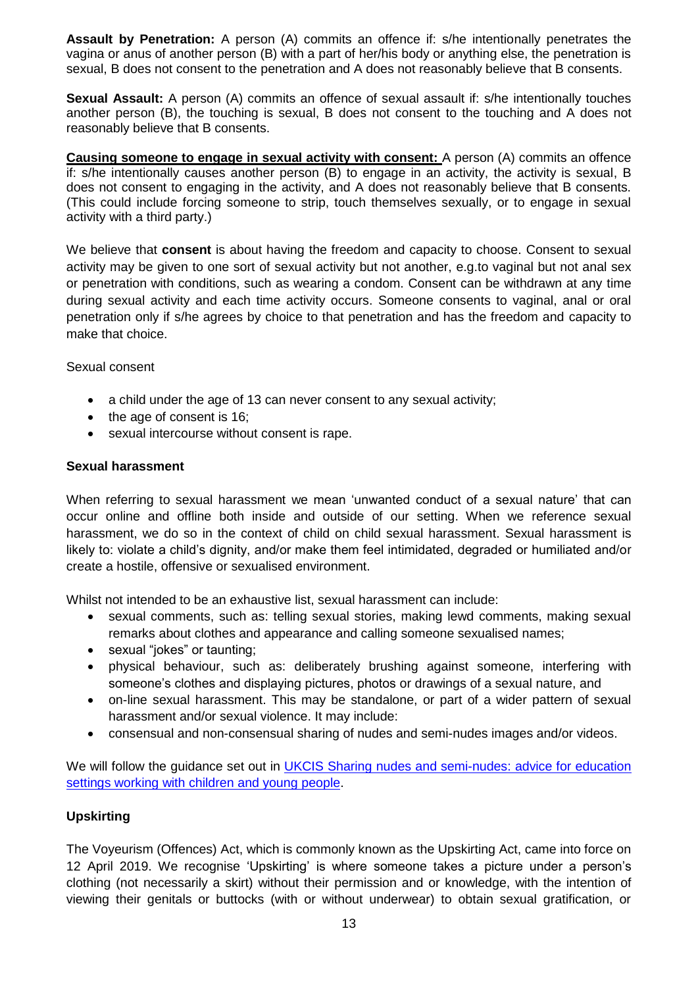**Assault by Penetration:** A person (A) commits an offence if: s/he intentionally penetrates the vagina or anus of another person (B) with a part of her/his body or anything else, the penetration is sexual, B does not consent to the penetration and A does not reasonably believe that B consents.

**Sexual Assault:** A person (A) commits an offence of sexual assault if: s/he intentionally touches another person (B), the touching is sexual, B does not consent to the touching and A does not reasonably believe that B consents.

**Causing someone to engage in sexual activity with consent:** A person (A) commits an offence if: s/he intentionally causes another person (B) to engage in an activity, the activity is sexual, B does not consent to engaging in the activity, and A does not reasonably believe that B consents. (This could include forcing someone to strip, touch themselves sexually, or to engage in sexual activity with a third party.)

We believe that **consent** is about having the freedom and capacity to choose. Consent to sexual activity may be given to one sort of sexual activity but not another, e.g.to vaginal but not anal sex or penetration with conditions, such as wearing a condom. Consent can be withdrawn at any time during sexual activity and each time activity occurs. Someone consents to vaginal, anal or oral penetration only if s/he agrees by choice to that penetration and has the freedom and capacity to make that choice.

Sexual consent

- a child under the age of 13 can never consent to any sexual activity;
- $\bullet$  the age of consent is 16;
- sexual intercourse without consent is rape.

# **Sexual harassment**

When referring to sexual harassment we mean 'unwanted conduct of a sexual nature' that can occur online and offline both inside and outside of our setting. When we reference sexual harassment, we do so in the context of child on child sexual harassment. Sexual harassment is likely to: violate a child's dignity, and/or make them feel intimidated, degraded or humiliated and/or create a hostile, offensive or sexualised environment.

Whilst not intended to be an exhaustive list, sexual harassment can include:

- sexual comments, such as: telling sexual stories, making lewd comments, making sexual remarks about clothes and appearance and calling someone sexualised names;
- sexual "jokes" or taunting:
- physical behaviour, such as: deliberately brushing against someone, interfering with someone's clothes and displaying pictures, photos or drawings of a sexual nature, and
- on-line sexual harassment. This may be standalone, or part of a wider pattern of sexual harassment and/or sexual violence. It may include:
- consensual and non-consensual sharing of nudes and semi-nudes images and/or videos.

We will follow the quidance set out in UKCIS Sharing nudes and semi-nudes: advice for education [settings working with children and young people.](https://www.gov.uk/government/publications/sharing-nudes-and-semi-nudes-advice-for-education-settings-working-with-children-and-young-people/sharing-nudes-and-semi-nudes-advice-for-education-settings-working-with-children-and-young-people)

# **Upskirting**

The Voyeurism (Offences) Act, which is commonly known as the Upskirting Act, came into force on 12 April 2019. We recognise 'Upskirting' is where someone takes a picture under a person's clothing (not necessarily a skirt) without their permission and or knowledge, with the intention of viewing their genitals or buttocks (with or without underwear) to obtain sexual gratification, or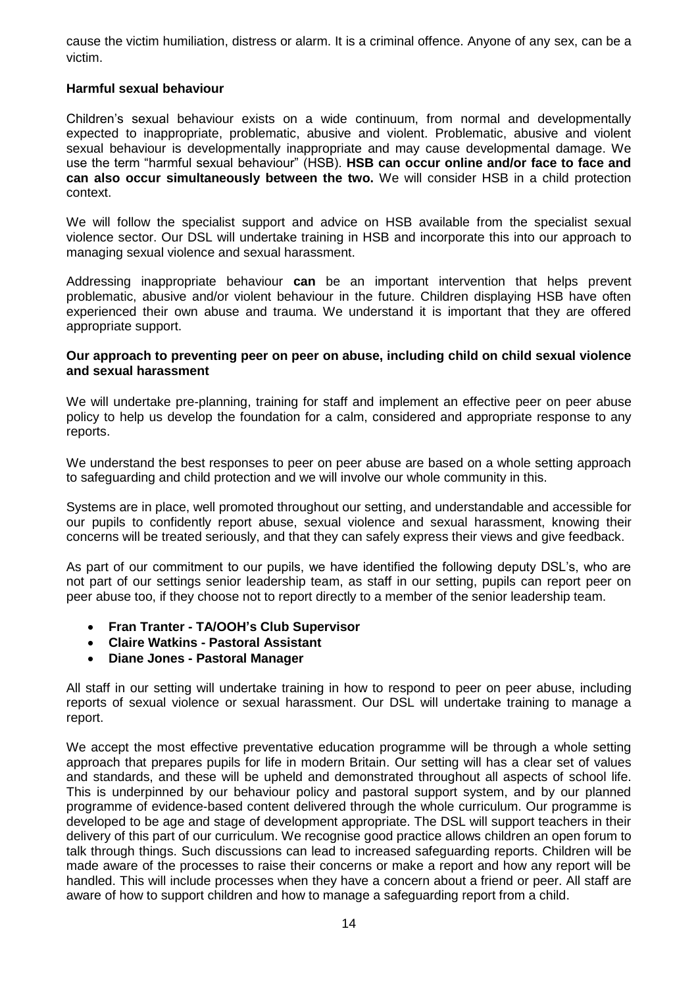cause the victim humiliation, distress or alarm. It is a criminal offence. Anyone of any sex, can be a victim.

# **Harmful sexual behaviour**

Children's sexual behaviour exists on a wide continuum, from normal and developmentally expected to inappropriate, problematic, abusive and violent. Problematic, abusive and violent sexual behaviour is developmentally inappropriate and may cause developmental damage. We use the term "harmful sexual behaviour" (HSB). **HSB can occur online and/or face to face and can also occur simultaneously between the two.** We will consider HSB in a child protection context.

We will follow the specialist support and advice on HSB available from the specialist sexual violence sector. Our DSL will undertake training in HSB and incorporate this into our approach to managing sexual violence and sexual harassment.

Addressing inappropriate behaviour **can** be an important intervention that helps prevent problematic, abusive and/or violent behaviour in the future. Children displaying HSB have often experienced their own abuse and trauma. We understand it is important that they are offered appropriate support.

#### **Our approach to preventing peer on peer on abuse, including child on child sexual violence and sexual harassment**

We will undertake pre-planning, training for staff and implement an effective peer on peer abuse policy to help us develop the foundation for a calm, considered and appropriate response to any reports.

We understand the best responses to peer on peer abuse are based on a whole setting approach to safeguarding and child protection and we will involve our whole community in this.

Systems are in place, well promoted throughout our setting, and understandable and accessible for our pupils to confidently report abuse, sexual violence and sexual harassment, knowing their concerns will be treated seriously, and that they can safely express their views and give feedback.

As part of our commitment to our pupils, we have identified the following deputy DSL's, who are not part of our settings senior leadership team, as staff in our setting, pupils can report peer on peer abuse too, if they choose not to report directly to a member of the senior leadership team.

- **Fran Tranter - TA/OOH's Club Supervisor**
- **Claire Watkins - Pastoral Assistant**
- **Diane Jones - Pastoral Manager**

All staff in our setting will undertake training in how to respond to peer on peer abuse, including reports of sexual violence or sexual harassment. Our DSL will undertake training to manage a report.

We accept the most effective preventative education programme will be through a whole setting approach that prepares pupils for life in modern Britain. Our setting will has a clear set of values and standards, and these will be upheld and demonstrated throughout all aspects of school life. This is underpinned by our behaviour policy and pastoral support system, and by our planned programme of evidence-based content delivered through the whole curriculum. Our programme is developed to be age and stage of development appropriate. The DSL will support teachers in their delivery of this part of our curriculum. We recognise good practice allows children an open forum to talk through things. Such discussions can lead to increased safeguarding reports. Children will be made aware of the processes to raise their concerns or make a report and how any report will be handled. This will include processes when they have a concern about a friend or peer. All staff are aware of how to support children and how to manage a safeguarding report from a child.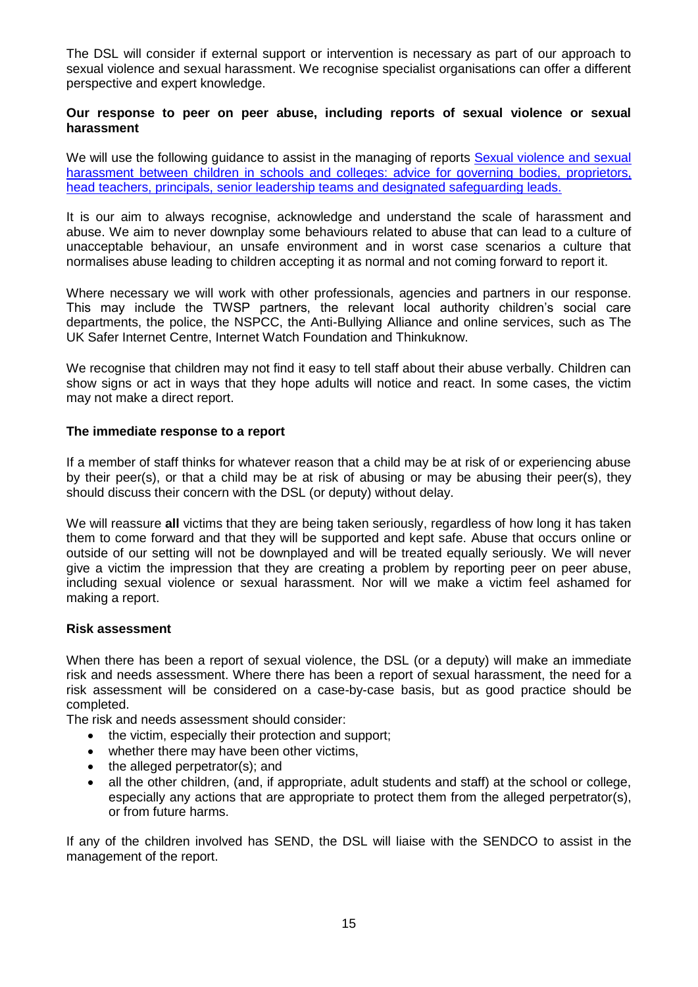The DSL will consider if external support or intervention is necessary as part of our approach to sexual violence and sexual harassment. We recognise specialist organisations can offer a different perspective and expert knowledge.

#### **Our response to peer on peer abuse, including reports of sexual violence or sexual harassment**

We will use the following guidance to assist in the managing of reports Sexual violence and sexual [harassment between children in schools and colleges:](https://www.gov.uk/government/publications/sexual-violence-and-sexual-harassment-between-children-in-schools-and-colleges) advice for governing bodies, proprietors, head [teachers, principals, senior leadership teams and designated safeguarding leads.](https://www.gov.uk/government/publications/sexual-violence-and-sexual-harassment-between-children-in-schools-and-colleges)

It is our aim to always recognise, acknowledge and understand the scale of harassment and abuse. We aim to never downplay some behaviours related to abuse that can lead to a culture of unacceptable behaviour, an unsafe environment and in worst case scenarios a culture that normalises abuse leading to children accepting it as normal and not coming forward to report it.

Where necessary we will work with other professionals, agencies and partners in our response. This may include the TWSP partners, the relevant local authority children's social care departments, the police, the NSPCC, the Anti-Bullying Alliance and online services, such as The UK Safer Internet Centre, Internet Watch Foundation and Thinkuknow.

We recognise that children may not find it easy to tell staff about their abuse verbally. Children can show signs or act in ways that they hope adults will notice and react. In some cases, the victim may not make a direct report.

# **The immediate response to a report**

If a member of staff thinks for whatever reason that a child may be at risk of or experiencing abuse by their peer(s), or that a child may be at risk of abusing or may be abusing their peer(s), they should discuss their concern with the DSL (or deputy) without delay.

We will reassure **all** victims that they are being taken seriously, regardless of how long it has taken them to come forward and that they will be supported and kept safe. Abuse that occurs online or outside of our setting will not be downplayed and will be treated equally seriously. We will never give a victim the impression that they are creating a problem by reporting peer on peer abuse, including sexual violence or sexual harassment. Nor will we make a victim feel ashamed for making a report.

#### **Risk assessment**

When there has been a report of sexual violence, the DSL (or a deputy) will make an immediate risk and needs assessment. Where there has been a report of sexual harassment, the need for a risk assessment will be considered on a case-by-case basis, but as good practice should be completed.

The risk and needs assessment should consider:

- the victim, especially their protection and support;
- whether there may have been other victims,
- the alleged perpetrator(s); and
- all the other children, (and, if appropriate, adult students and staff) at the school or college, especially any actions that are appropriate to protect them from the alleged perpetrator(s), or from future harms.

If any of the children involved has SEND, the DSL will liaise with the SENDCO to assist in the management of the report.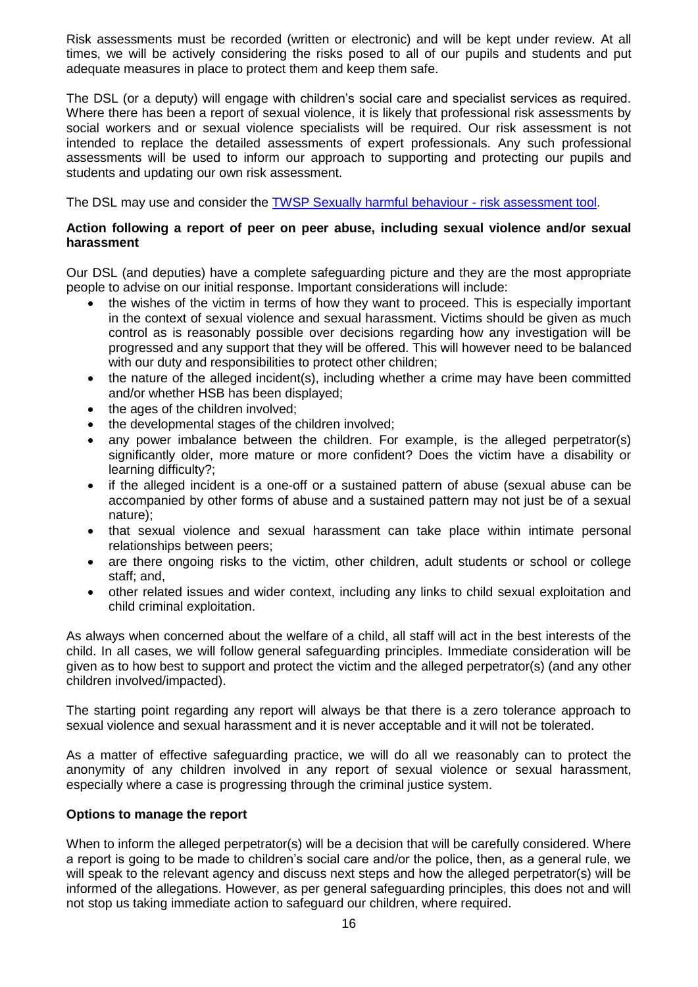Risk assessments must be recorded (written or electronic) and will be kept under review. At all times, we will be actively considering the risks posed to all of our pupils and students and put adequate measures in place to protect them and keep them safe.

The DSL (or a deputy) will engage with children's social care and specialist services as required. Where there has been a report of sexual violence, it is likely that professional risk assessments by social workers and or sexual violence specialists will be required. Our risk assessment is not intended to replace the detailed assessments of expert professionals. Any such professional assessments will be used to inform our approach to supporting and protecting our pupils and students and updating our own risk assessment.

The DSL may use and consider the [TWSP Sexually harmful behaviour -](http://www.telfordsafeguardingboard.org.uk/lscb/downloads/file/38/sexually_harmful_behaviour_-_risk_assessment_tool) risk assessment tool.

# **Action following a report of peer on peer abuse, including sexual violence and/or sexual harassment**

Our DSL (and deputies) have a complete safeguarding picture and they are the most appropriate people to advise on our initial response. Important considerations will include:

- the wishes of the victim in terms of how they want to proceed. This is especially important in the context of sexual violence and sexual harassment. Victims should be given as much control as is reasonably possible over decisions regarding how any investigation will be progressed and any support that they will be offered. This will however need to be balanced with our duty and responsibilities to protect other children;
- the nature of the alleged incident(s), including whether a crime may have been committed and/or whether HSB has been displayed;
- the ages of the children involved;
- the developmental stages of the children involved;
- any power imbalance between the children. For example, is the alleged perpetrator(s) significantly older, more mature or more confident? Does the victim have a disability or learning difficulty?;
- if the alleged incident is a one-off or a sustained pattern of abuse (sexual abuse can be accompanied by other forms of abuse and a sustained pattern may not just be of a sexual nature);
- that sexual violence and sexual harassment can take place within intimate personal relationships between peers;
- are there ongoing risks to the victim, other children, adult students or school or college staff; and,
- other related issues and wider context, including any links to child sexual exploitation and child criminal exploitation.

As always when concerned about the welfare of a child, all staff will act in the best interests of the child. In all cases, we will follow general safeguarding principles. Immediate consideration will be given as to how best to support and protect the victim and the alleged perpetrator(s) (and any other children involved/impacted).

The starting point regarding any report will always be that there is a zero tolerance approach to sexual violence and sexual harassment and it is never acceptable and it will not be tolerated.

As a matter of effective safeguarding practice, we will do all we reasonably can to protect the anonymity of any children involved in any report of sexual violence or sexual harassment, especially where a case is progressing through the criminal justice system.

# **Options to manage the report**

When to inform the alleged perpetrator(s) will be a decision that will be carefully considered. Where a report is going to be made to children's social care and/or the police, then, as a general rule, we will speak to the relevant agency and discuss next steps and how the alleged perpetrator(s) will be informed of the allegations. However, as per general safeguarding principles, this does not and will not stop us taking immediate action to safeguard our children, where required.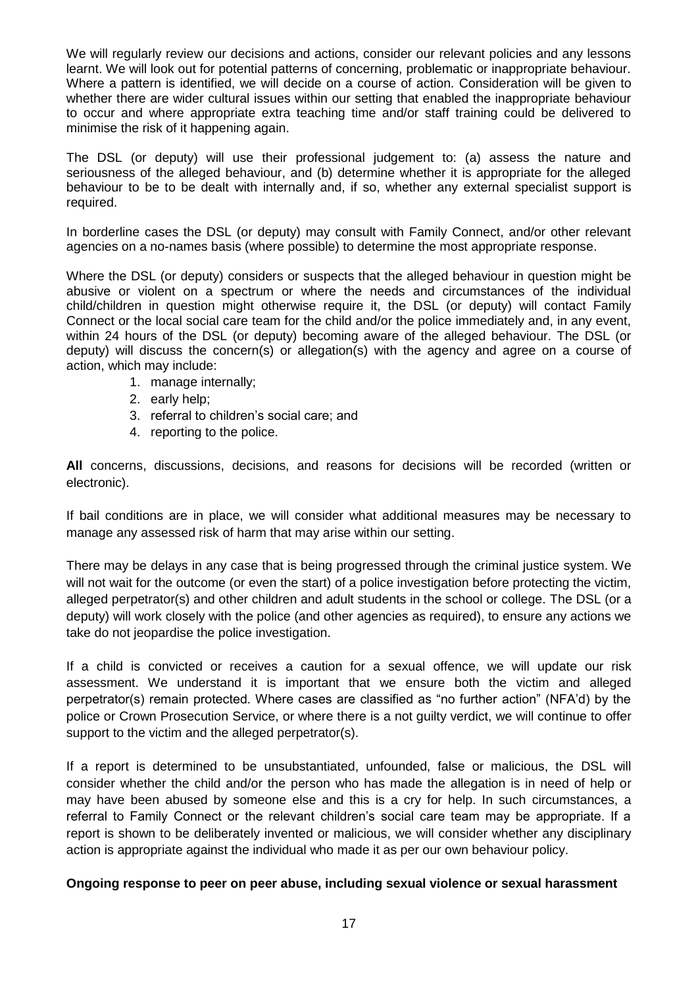We will regularly review our decisions and actions, consider our relevant policies and any lessons learnt. We will look out for potential patterns of concerning, problematic or inappropriate behaviour. Where a pattern is identified, we will decide on a course of action. Consideration will be given to whether there are wider cultural issues within our setting that enabled the inappropriate behaviour to occur and where appropriate extra teaching time and/or staff training could be delivered to minimise the risk of it happening again.

The DSL (or deputy) will use their professional judgement to: (a) assess the nature and seriousness of the alleged behaviour, and (b) determine whether it is appropriate for the alleged behaviour to be to be dealt with internally and, if so, whether any external specialist support is required.

In borderline cases the DSL (or deputy) may consult with Family Connect, and/or other relevant agencies on a no-names basis (where possible) to determine the most appropriate response.

Where the DSL (or deputy) considers or suspects that the alleged behaviour in question might be abusive or violent on a spectrum or where the needs and circumstances of the individual child/children in question might otherwise require it, the DSL (or deputy) will contact Family Connect or the local social care team for the child and/or the police immediately and, in any event, within 24 hours of the DSL (or deputy) becoming aware of the alleged behaviour. The DSL (or deputy) will discuss the concern(s) or allegation(s) with the agency and agree on a course of action, which may include:

- 1. manage internally;
- 2. early help;
- 3. referral to children's social care; and
- 4. reporting to the police.

**All** concerns, discussions, decisions, and reasons for decisions will be recorded (written or electronic).

If bail conditions are in place, we will consider what additional measures may be necessary to manage any assessed risk of harm that may arise within our setting.

There may be delays in any case that is being progressed through the criminal justice system. We will not wait for the outcome (or even the start) of a police investigation before protecting the victim, alleged perpetrator(s) and other children and adult students in the school or college. The DSL (or a deputy) will work closely with the police (and other agencies as required), to ensure any actions we take do not jeopardise the police investigation.

If a child is convicted or receives a caution for a sexual offence, we will update our risk assessment. We understand it is important that we ensure both the victim and alleged perpetrator(s) remain protected. Where cases are classified as "no further action" (NFA'd) by the police or Crown Prosecution Service, or where there is a not guilty verdict, we will continue to offer support to the victim and the alleged perpetrator(s).

If a report is determined to be unsubstantiated, unfounded, false or malicious, the DSL will consider whether the child and/or the person who has made the allegation is in need of help or may have been abused by someone else and this is a cry for help. In such circumstances, a referral to Family Connect or the relevant children's social care team may be appropriate. If a report is shown to be deliberately invented or malicious, we will consider whether any disciplinary action is appropriate against the individual who made it as per our own behaviour policy.

# **Ongoing response to peer on peer abuse, including sexual violence or sexual harassment**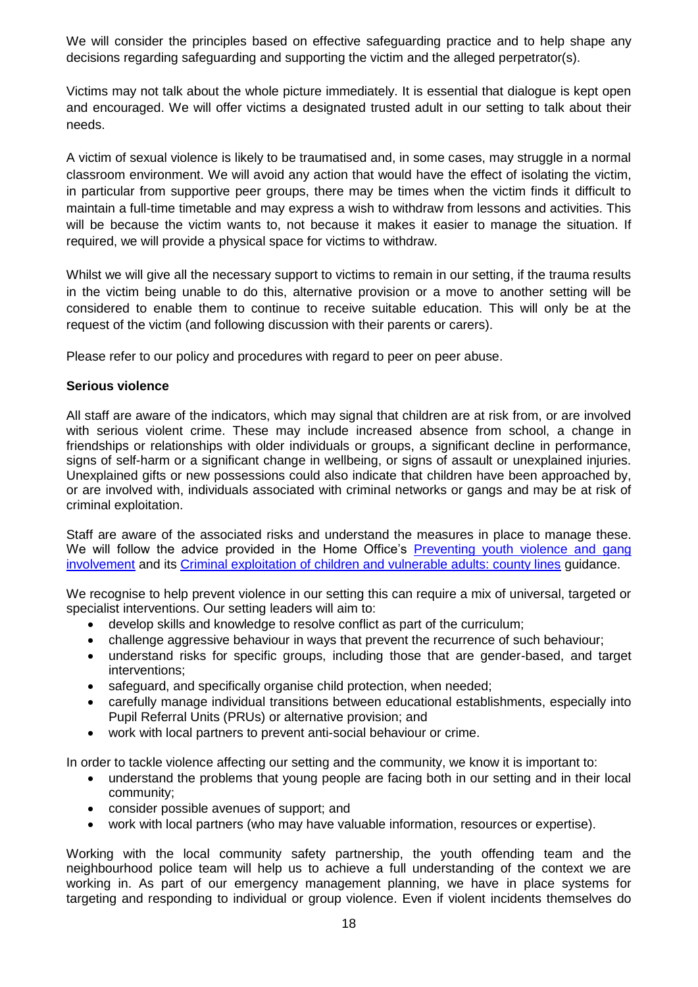We will consider the principles based on effective safeguarding practice and to help shape any decisions regarding safeguarding and supporting the victim and the alleged perpetrator(s).

Victims may not talk about the whole picture immediately. It is essential that dialogue is kept open and encouraged. We will offer victims a designated trusted adult in our setting to talk about their needs.

A victim of sexual violence is likely to be traumatised and, in some cases, may struggle in a normal classroom environment. We will avoid any action that would have the effect of isolating the victim, in particular from supportive peer groups, there may be times when the victim finds it difficult to maintain a full-time timetable and may express a wish to withdraw from lessons and activities. This will be because the victim wants to, not because it makes it easier to manage the situation. If required, we will provide a physical space for victims to withdraw.

Whilst we will give all the necessary support to victims to remain in our setting, if the trauma results in the victim being unable to do this, alternative provision or a move to another setting will be considered to enable them to continue to receive suitable education. This will only be at the request of the victim (and following discussion with their parents or carers).

Please refer to our policy and procedures with regard to peer on peer abuse.

# **Serious violence**

All staff are aware of the indicators, which may signal that children are at risk from, or are involved with serious violent crime. These may include increased absence from school, a change in friendships or relationships with older individuals or groups, a significant decline in performance, signs of self-harm or a significant change in wellbeing, or signs of assault or unexplained injuries. Unexplained gifts or new possessions could also indicate that children have been approached by, or are involved with, individuals associated with criminal networks or gangs and may be at risk of criminal exploitation.

Staff are aware of the associated risks and understand the measures in place to manage these. We will follow the advice provided in the Home Office's Preventing youth violence and gang [involvement](https://www.gov.uk/government/publications/advice-to-schools-and-colleges-on-gangs-and-youth-violence) and its [Criminal exploitation of children and vulnerable adults: county lines](https://www.gov.uk/government/publications/criminal-exploitation-of-children-and-vulnerable-adults-county-lines) guidance.

We recognise to help prevent violence in our setting this can require a mix of universal, targeted or specialist interventions. Our setting leaders will aim to:

- develop skills and knowledge to resolve conflict as part of the curriculum;
- challenge aggressive behaviour in ways that prevent the recurrence of such behaviour;
- understand risks for specific groups, including those that are gender-based, and target interventions;
- safeguard, and specifically organise child protection, when needed;
- carefully manage individual transitions between educational establishments, especially into Pupil Referral Units (PRUs) or alternative provision; and
- work with local partners to prevent anti-social behaviour or crime.

In order to tackle violence affecting our setting and the community, we know it is important to:

- understand the problems that young people are facing both in our setting and in their local community;
- consider possible avenues of support; and
- work with local partners (who may have valuable information, resources or expertise).

Working with the local community safety partnership, the youth offending team and the neighbourhood police team will help us to achieve a full understanding of the context we are working in. As part of our emergency management planning, we have in place systems for targeting and responding to individual or group violence. Even if violent incidents themselves do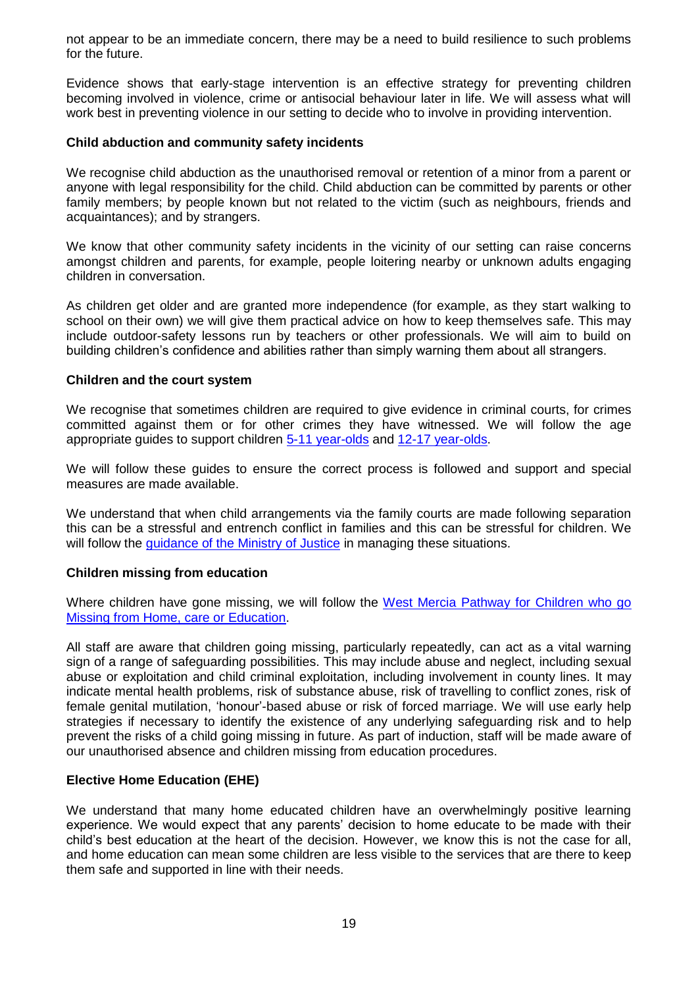not appear to be an immediate concern, there may be a need to build resilience to such problems for the future.

Evidence shows that early-stage intervention is an effective strategy for preventing children becoming involved in violence, crime or antisocial behaviour later in life. We will assess what will work best in preventing violence in our setting to decide who to involve in providing intervention.

#### **Child abduction and community safety incidents**

We recognise child abduction as the unauthorised removal or retention of a minor from a parent or anyone with legal responsibility for the child. Child abduction can be committed by parents or other family members; by people known but not related to the victim (such as neighbours, friends and acquaintances); and by strangers.

We know that other community safety incidents in the vicinity of our setting can raise concerns amongst children and parents, for example, people loitering nearby or unknown adults engaging children in conversation.

As children get older and are granted more independence (for example, as they start walking to school on their own) we will give them practical advice on how to keep themselves safe. This may include outdoor-safety lessons run by teachers or other professionals. We will aim to build on building children's confidence and abilities rather than simply warning them about all strangers.

#### **Children and the court system**

We recognise that sometimes children are required to give evidence in criminal courts, for crimes committed against them or for other crimes they have witnessed. We will follow the age appropriate guides to support children [5-11 year-olds](https://www.gov.uk/government/publications/young-witness-booklet-for-5-to-11-year-olds) and [12-17 year-olds.](https://www.gov.uk/government/publications/young-witness-booklet-for-12-to-17-year-olds)

We will follow these guides to ensure the correct process is followed and support and special measures are made available.

We understand that when child arrangements via the family courts are made following separation this can be a stressful and entrench conflict in families and this can be stressful for children. We will follow the quidance of the Ministry of Justice in managing these situations.

# **Children missing from education**

Where children have gone missing, we will follow the West Mercia Pathway for Children who go [Missing from Home, care or Education.](https://westmidlands.procedures.org.uk/assets/clients/6/Telford%20and%20Wrekin%20Downloads/West%20Mercia%20Missing%20Pathway%20%20-%20FINAL.pdf)

All staff are aware that children going missing, particularly repeatedly, can act as a vital warning sign of a range of safeguarding possibilities. This may include abuse and neglect, including sexual abuse or exploitation and child criminal exploitation, including involvement in county lines. It may indicate mental health problems, risk of substance abuse, risk of travelling to conflict zones, risk of female genital mutilation, 'honour'-based abuse or risk of forced marriage. We will use early help strategies if necessary to identify the existence of any underlying safeguarding risk and to help prevent the risks of a child going missing in future. As part of induction, staff will be made aware of our unauthorised absence and children missing from education procedures.

# **Elective Home Education (EHE)**

We understand that many home educated children have an overwhelmingly positive learning experience. We would expect that any parents' decision to home educate to be made with their child's best education at the heart of the decision. However, we know this is not the case for all, and home education can mean some children are less visible to the services that are there to keep them safe and supported in line with their needs.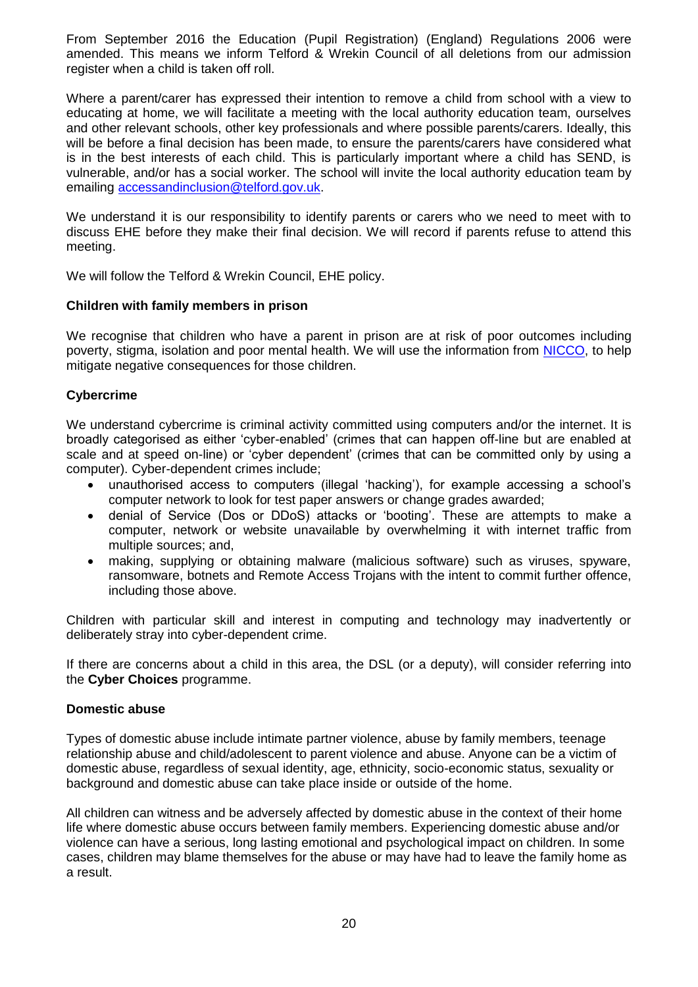From September 2016 the Education (Pupil Registration) (England) Regulations 2006 were amended. This means we inform Telford & Wrekin Council of all deletions from our admission register when a child is taken off roll.

Where a parent/carer has expressed their intention to remove a child from school with a view to educating at home, we will facilitate a meeting with the local authority education team, ourselves and other relevant schools, other key professionals and where possible parents/carers. Ideally, this will be before a final decision has been made, to ensure the parents/carers have considered what is in the best interests of each child. This is particularly important where a child has SEND, is vulnerable, and/or has a social worker. The school will invite the local authority education team by emailing [accessandinclusion@telford.gov.uk.](mailto:accessandinclusion@telford.gov.uk)

We understand it is our responsibility to identify parents or carers who we need to meet with to discuss EHE before they make their final decision. We will record if parents refuse to attend this meeting.

We will follow the Telford & Wrekin Council, EHE policy.

# **Children with family members in prison**

We recognise that children who have a parent in prison are at risk of poor outcomes including poverty, stigma, isolation and poor mental health. We will use the information from [NICCO,](https://www.nicco.org.uk/) to help mitigate negative consequences for those children.

# **Cybercrime**

We understand cybercrime is criminal activity committed using computers and/or the internet. It is broadly categorised as either 'cyber-enabled' (crimes that can happen off-line but are enabled at scale and at speed on-line) or 'cyber dependent' (crimes that can be committed only by using a computer). Cyber-dependent crimes include;

- unauthorised access to computers (illegal 'hacking'), for example accessing a school's computer network to look for test paper answers or change grades awarded;
- denial of Service (Dos or DDoS) attacks or 'booting'. These are attempts to make a computer, network or website unavailable by overwhelming it with internet traffic from multiple sources; and,
- making, supplying or obtaining malware (malicious software) such as viruses, spyware, ransomware, botnets and Remote Access Trojans with the intent to commit further offence, including those above.

Children with particular skill and interest in computing and technology may inadvertently or deliberately stray into cyber-dependent crime.

If there are concerns about a child in this area, the DSL (or a deputy), will consider referring into the **Cyber Choices** programme.

# **Domestic abuse**

Types of domestic abuse include intimate partner violence, abuse by family members, teenage relationship abuse and child/adolescent to parent violence and abuse. Anyone can be a victim of domestic abuse, regardless of sexual identity, age, ethnicity, socio-economic status, sexuality or background and domestic abuse can take place inside or outside of the home.

All children can witness and be adversely affected by domestic abuse in the context of their home life where domestic abuse occurs between family members. Experiencing domestic abuse and/or violence can have a serious, long lasting emotional and psychological impact on children. In some cases, children may blame themselves for the abuse or may have had to leave the family home as a result.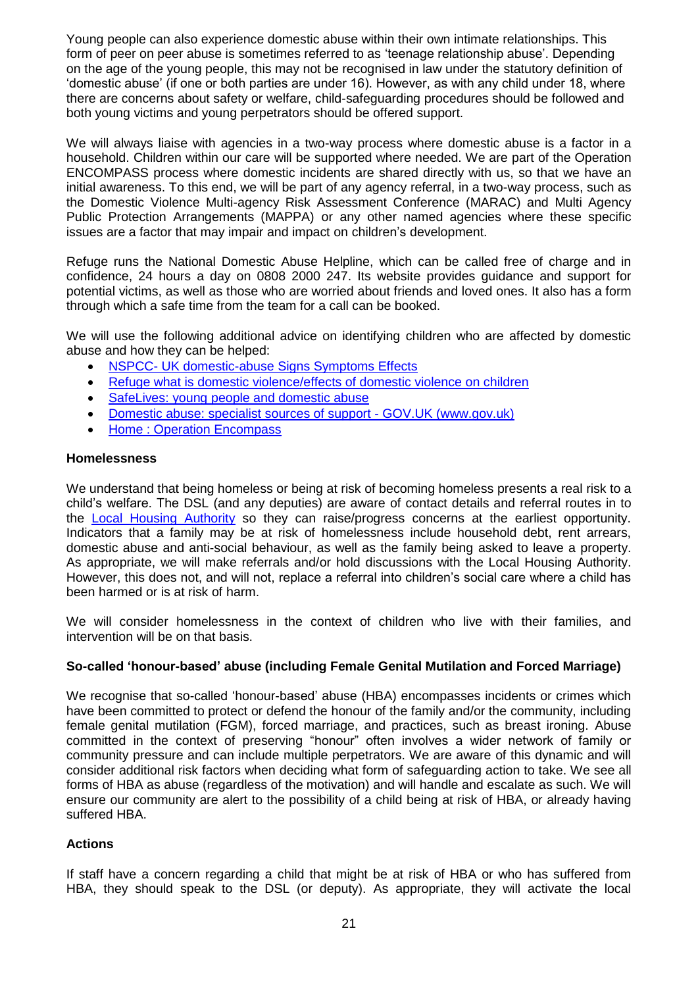Young people can also experience domestic abuse within their own intimate relationships. This form of peer on peer abuse is sometimes referred to as 'teenage relationship abuse'. Depending on the age of the young people, this may not be recognised in law under the statutory definition of 'domestic abuse' (if one or both parties are under 16). However, as with any child under 18, where there are concerns about safety or welfare, child-safeguarding procedures should be followed and both young victims and young perpetrators should be offered support.

We will always liaise with agencies in a two-way process where domestic abuse is a factor in a household. Children within our care will be supported where needed. We are part of the Operation ENCOMPASS process where domestic incidents are shared directly with us, so that we have an initial awareness. To this end, we will be part of any agency referral, in a two-way process, such as the Domestic Violence Multi-agency Risk Assessment Conference (MARAC) and Multi Agency Public Protection Arrangements (MAPPA) or any other named agencies where these specific issues are a factor that may impair and impact on children's development.

Refuge runs the National Domestic Abuse Helpline, which can be called free of charge and in confidence, 24 hours a day on 0808 2000 247. Its website provides guidance and support for potential victims, as well as those who are worried about friends and loved ones. It also has a form through which a safe time from the team for a call can be booked.

We will use the following additional advice on identifying children who are affected by domestic abuse and how they can be helped:

- NSPCC- [UK domestic-abuse Signs Symptoms Effects](https://www.nspcc.org.uk/what-is-child-abuse/types-of-abuse/domestic-abuse/)
- [Refuge what is domestic violence/effects of domestic violence on children](http://www.refuge.org.uk/get-help-now/support-for-women/what-about-my-children/)
- [SafeLives: young people and domestic abuse](https://safelives.org.uk/knowledge-hub/spotlights/spotlight-3-young-people-and-domestic-abuse)
- [Domestic abuse: specialist sources of support -](Domestic%20abuse:%20specialist%20sources%20of%20support%20-%20GOV.UK%20(www.gov.uk)) GOV.UK (www.gov.uk)
- Home: Operation Encompass

#### **Homelessness**

We understand that being homeless or being at risk of becoming homeless presents a real risk to a child's welfare. The DSL (and any deputies) are aware of contact details and referral routes in to the [Local Housing Authority](https://www.telford.gov.uk/info/20665/are_you_at_risk_of_becoming_homeless/22/homelessness) so they can raise/progress concerns at the earliest opportunity. Indicators that a family may be at risk of homelessness include household debt, rent arrears, domestic abuse and anti-social behaviour, as well as the family being asked to leave a property. As appropriate, we will make referrals and/or hold discussions with the Local Housing Authority. However, this does not, and will not, replace a referral into children's social care where a child has been harmed or is at risk of harm.

We will consider homelessness in the context of children who live with their families, and intervention will be on that basis.

# **So-called 'honour-based' abuse (including Female Genital Mutilation and Forced Marriage)**

We recognise that so-called 'honour-based' abuse (HBA) encompasses incidents or crimes which have been committed to protect or defend the honour of the family and/or the community, including female genital mutilation (FGM), forced marriage, and practices, such as breast ironing. Abuse committed in the context of preserving "honour" often involves a wider network of family or community pressure and can include multiple perpetrators. We are aware of this dynamic and will consider additional risk factors when deciding what form of safeguarding action to take. We see all forms of HBA as abuse (regardless of the motivation) and will handle and escalate as such. We will ensure our community are alert to the possibility of a child being at risk of HBA, or already having suffered HBA.

# **Actions**

If staff have a concern regarding a child that might be at risk of HBA or who has suffered from HBA, they should speak to the DSL (or deputy). As appropriate, they will activate the local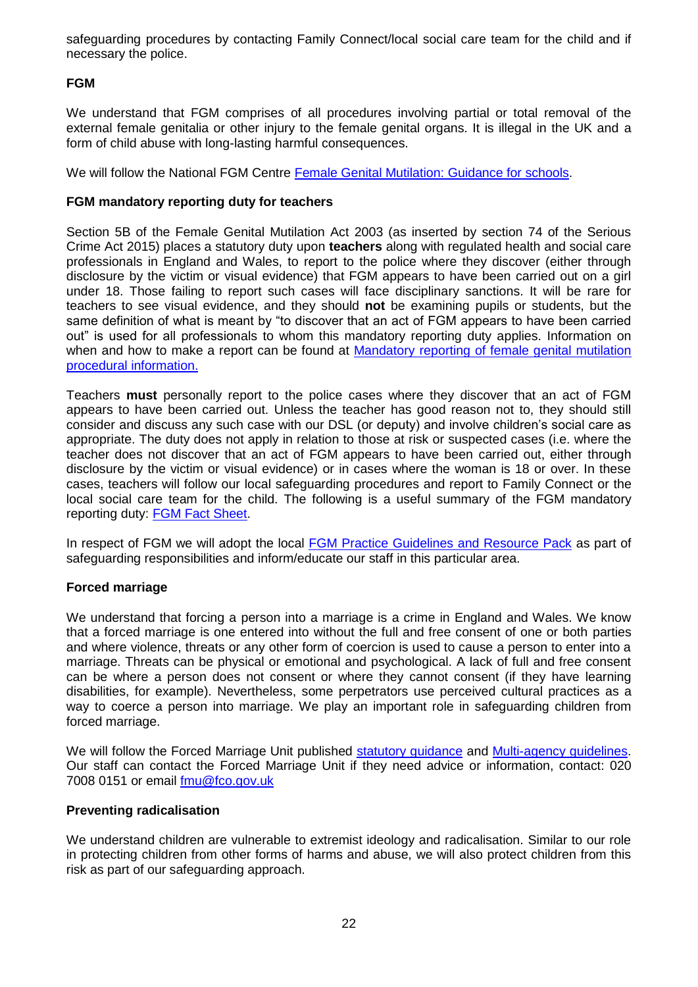safeguarding procedures by contacting Family Connect/local social care team for the child and if necessary the police.

# **FGM**

We understand that FGM comprises of all procedures involving partial or total removal of the external female genitalia or other injury to the female genital organs. It is illegal in the UK and a form of child abuse with long-lasting harmful consequences.

We will follow the National FGM Centre [Female Genital Mutilation: Guidance for](http://nationalfgmcentre.org.uk/wp-content/uploads/2019/06/FGM-Schools-Guidance-National-FGM-Centre.pdf) schools.

## **FGM mandatory reporting duty for teachers**

Section 5B of the Female Genital Mutilation Act 2003 (as inserted by section 74 of the Serious Crime Act 2015) places a statutory duty upon **teachers** along with regulated health and social care professionals in England and Wales, to report to the police where they discover (either through disclosure by the victim or visual evidence) that FGM appears to have been carried out on a girl under 18. Those failing to report such cases will face disciplinary sanctions. It will be rare for teachers to see visual evidence, and they should **not** be examining pupils or students, but the same definition of what is meant by "to discover that an act of FGM appears to have been carried out" is used for all professionals to whom this mandatory reporting duty applies. Information on when and how to make a report can be found at Mandatory reporting of female genital mutilation [procedural information.](https://www.gov.uk/government/publications/mandatory-reporting-of-female-genital-mutilation-procedural-information)

Teachers **must** personally report to the police cases where they discover that an act of FGM appears to have been carried out. Unless the teacher has good reason not to, they should still consider and discuss any such case with our DSL (or deputy) and involve children's social care as appropriate. The duty does not apply in relation to those at risk or suspected cases (i.e. where the teacher does not discover that an act of FGM appears to have been carried out, either through disclosure by the victim or visual evidence) or in cases where the woman is 18 or over. In these cases, teachers will follow our local safeguarding procedures and report to Family Connect or the local social care team for the child. The following is a useful summary of the FGM mandatory reporting duty: [FGM Fact Sheet.](https://assets.publishing.service.gov.uk/government/uploads/system/uploads/attachment_data/file/496415/6_1639_HO_SP_FGM_mandatory_reporting_Fact_sheet_Web.pdf)

In respect of FGM we will adopt the local [FGM Practice Guidelines and Resource Pack](https://westmidlands.procedures.org.uk/pkplt/regional-safeguarding-guidance/female-genital-mutilation) as part of safeguarding responsibilities and inform/educate our staff in this particular area.

# **Forced marriage**

We understand that forcing a person into a marriage is a crime in England and Wales. We know that a forced marriage is one entered into without the full and free consent of one or both parties and where violence, threats or any other form of coercion is used to cause a person to enter into a marriage. Threats can be physical or emotional and psychological. A lack of full and free consent can be where a person does not consent or where they cannot consent (if they have learning disabilities, for example). Nevertheless, some perpetrators use perceived cultural practices as a way to coerce a person into marriage. We play an important role in safeguarding children from forced marriage.

We will follow the Forced Marriage Unit published [statutory guidance](https://www.gov.uk/guidance/forced-marriage) and [Multi-agency guidelines.](https://assets.publishing.service.gov.uk/government/uploads/system/uploads/attachment_data/file/322307/HMG_MULTI_AGENCY_PRACTICE_GUIDELINES_v1_180614_FINAL.pdf) Our staff can contact the Forced Marriage Unit if they need advice or information, contact: 020 7008 0151 or email [fmu@fco.gov.uk](mailto:fmu@fco.gov.uk)

#### **Preventing radicalisation**

We understand children are vulnerable to extremist ideology and radicalisation. Similar to our role in protecting children from other forms of harms and abuse, we will also protect children from this risk as part of our safeguarding approach.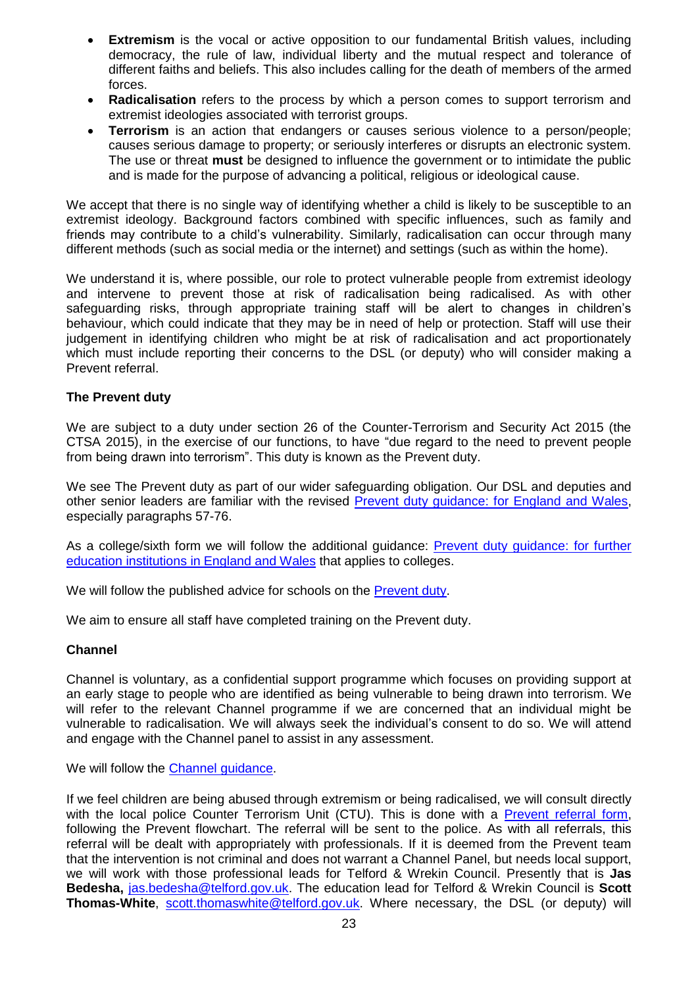- **Extremism** is the vocal or active opposition to our fundamental British values, including democracy, the rule of law, individual liberty and the mutual respect and tolerance of different faiths and beliefs. This also includes calling for the death of members of the armed forces.
- **Radicalisation** refers to the process by which a person comes to support terrorism and extremist ideologies associated with terrorist groups.
- **Terrorism** is an action that endangers or causes serious violence to a person/people; causes serious damage to property; or seriously interferes or disrupts an electronic system. The use or threat **must** be designed to influence the government or to intimidate the public and is made for the purpose of advancing a political, religious or ideological cause.

We accept that there is no single way of identifying whether a child is likely to be susceptible to an extremist ideology. Background factors combined with specific influences, such as family and friends may contribute to a child's vulnerability. Similarly, radicalisation can occur through many different methods (such as social media or the internet) and settings (such as within the home).

We understand it is, where possible, our role to protect vulnerable people from extremist ideology and intervene to prevent those at risk of radicalisation being radicalised. As with other safeguarding risks, through appropriate training staff will be alert to changes in children's behaviour, which could indicate that they may be in need of help or protection. Staff will use their judgement in identifying children who might be at risk of radicalisation and act proportionately which must include reporting their concerns to the DSL (or deputy) who will consider making a Prevent referral.

# **The Prevent duty**

We are subject to a duty under section 26 of the Counter-Terrorism and Security Act 2015 (the CTSA 2015), in the exercise of our functions, to have "due regard to the need to prevent people from being drawn into terrorism". This duty is known as the Prevent duty.

We see The Prevent duty as part of our wider safeguarding obligation. Our DSL and deputies and other senior leaders are familiar with the revised [Prevent duty guidance: for England and Wales,](https://www.gov.uk/government/publications/prevent-duty-guidance) especially paragraphs 57-76.

As a college/sixth form we will follow the additional guidance: [Prevent duty guidance: for further](https://www.gov.uk/government/publications/prevent-duty-guidance/prevent-duty-guidance-for-further-education-institutions-in-england-and-wales)  [education institutions in England and Wales](https://www.gov.uk/government/publications/prevent-duty-guidance/prevent-duty-guidance-for-further-education-institutions-in-england-and-wales) that applies to colleges.

We will follow the published advice for schools on the [Prevent duty.](https://www.gov.uk/government/publications/protecting-children-from-radicalisation-the-prevent-duty)

We aim to ensure all staff have completed training on the Prevent duty.

#### **Channel**

Channel is voluntary, as a confidential support programme which focuses on providing support at an early stage to people who are identified as being vulnerable to being drawn into terrorism. We will refer to the relevant Channel programme if we are concerned that an individual might be vulnerable to radicalisation. We will always seek the individual's consent to do so. We will attend and engage with the Channel panel to assist in any assessment.

We will follow the [Channel guidance.](https://www.gov.uk/government/publications/channel-guidance)

If we feel children are being abused through extremism or being radicalised, we will consult directly with the local police Counter Terrorism Unit (CTU). This is done with a [Prevent referral form,](https://www.telford.gov.uk/downloads/file/17302/referral_form) following the Prevent flowchart. The referral will be sent to the police. As with all referrals, this referral will be dealt with appropriately with professionals. If it is deemed from the Prevent team that the intervention is not criminal and does not warrant a Channel Panel, but needs local support, we will work with those professional leads for Telford & Wrekin Council. Presently that is **Jas Bedesha,** [jas.bedesha@telford.gov.uk.](mailto:jas.bedesha@telford.gov.uk) The education lead for Telford & Wrekin Council is **Scott Thomas-White**, [scott.thomaswhite@telford.gov.uk.](mailto:scott.thomaswhite@telford.gov.uk) Where necessary, the DSL (or deputy) will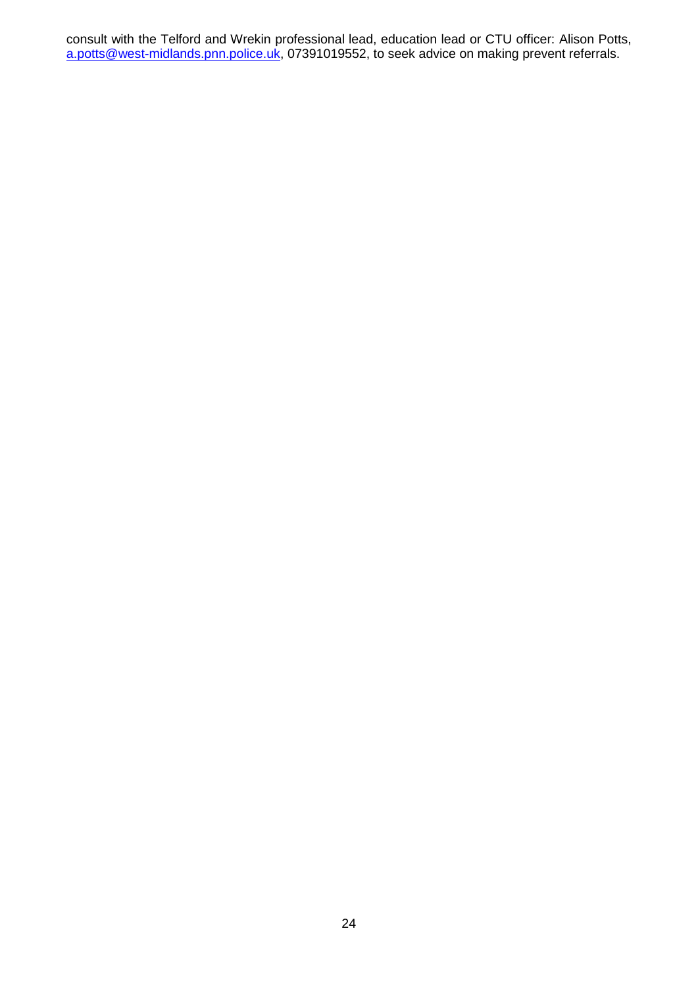consult with the Telford and Wrekin professional lead, education lead or CTU officer: Alison Potts, [a.potts@west-midlands.pnn.police.uk,](mailto:a.potts@west-midlands.pnn.police.uk) 07391019552, to seek advice on making prevent referrals.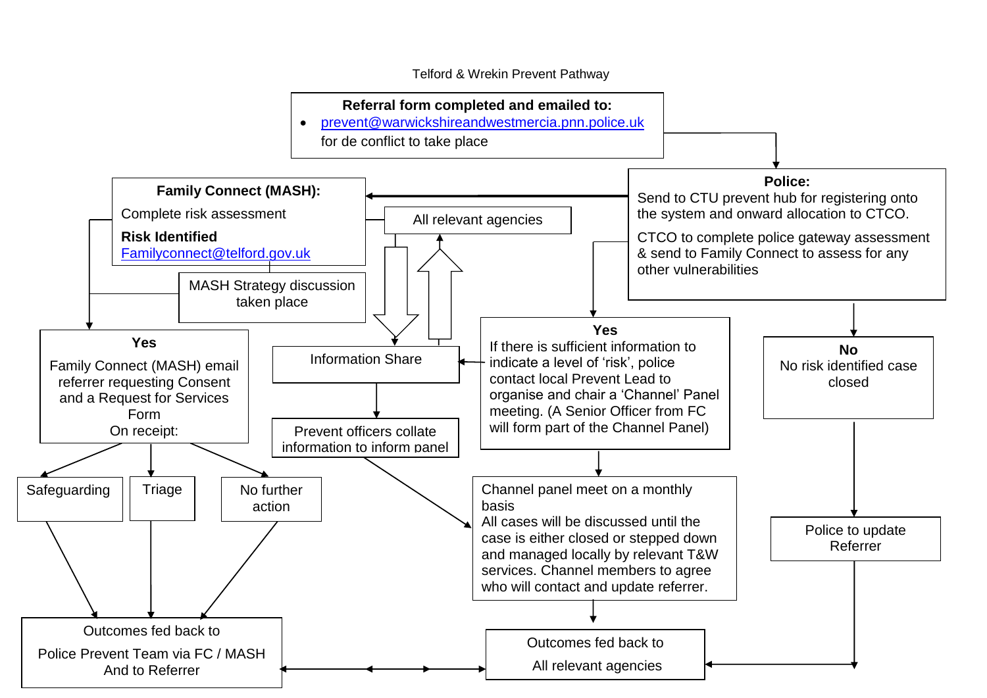Telford & Wrekin Prevent Pathway

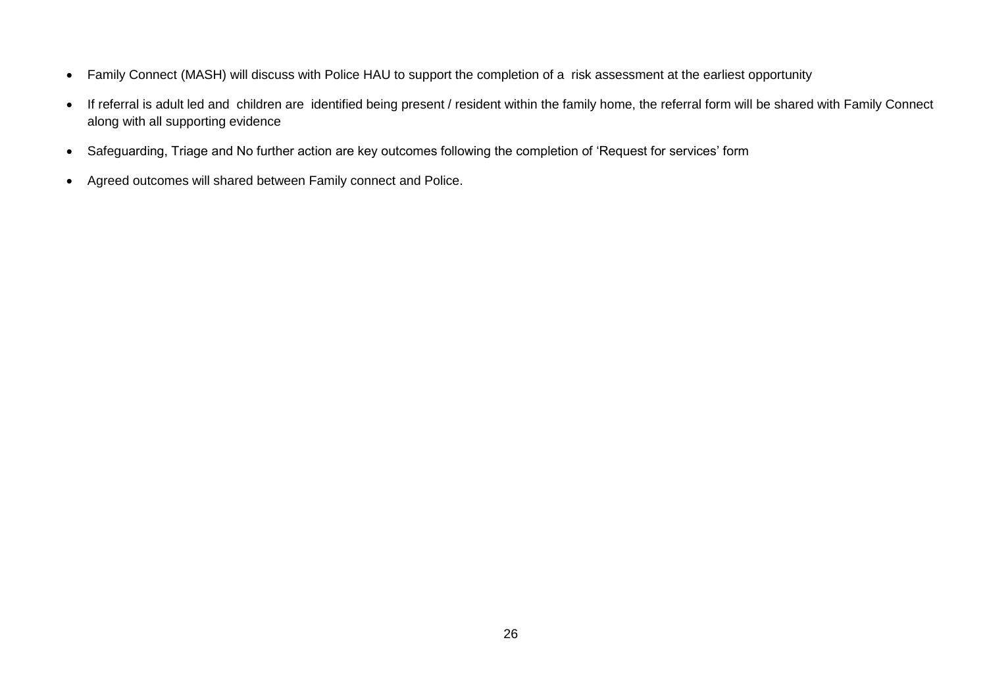- Family Connect (MASH) will discuss with Police HAU to support the completion of a risk assessment at the earliest opportunity
- If referral is adult led and children are identified being present / resident within the family home, the referral form will be shared with Family Connect along with all supporting evidence
- Safeguarding, Triage and No further action are key outcomes following the completion of 'Request for services' form
- Agreed outcomes will shared between Family connect and Police.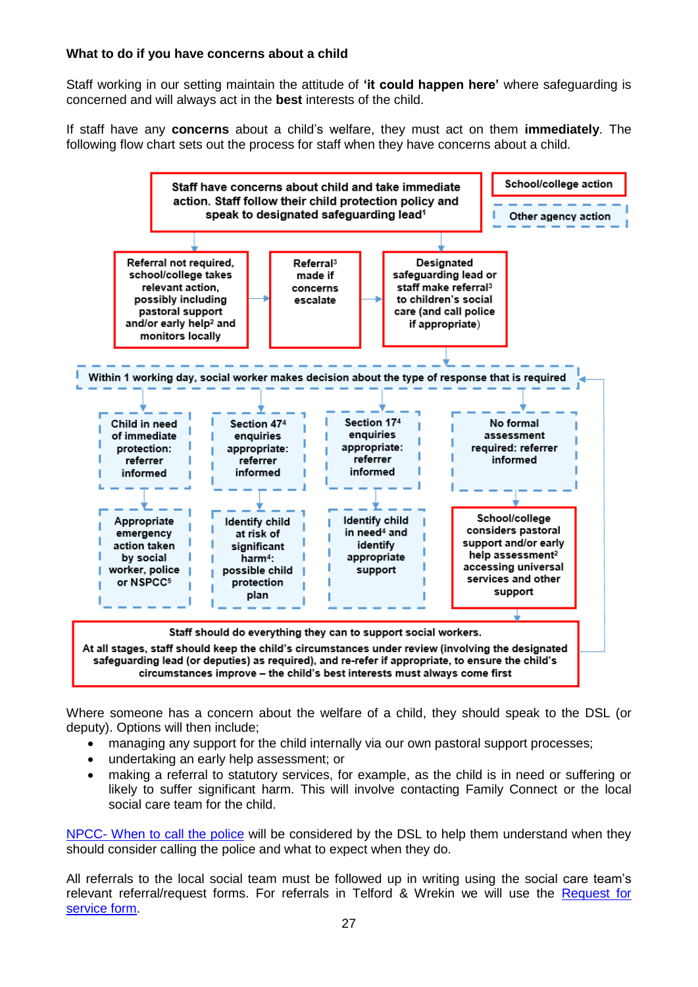# **What to do if you have concerns about a child**

Staff working in our setting maintain the attitude of **'it could happen here'** where safeguarding is concerned and will always act in the **best** interests of the child.

If staff have any **concerns** about a child's welfare, they must act on them **immediately**. The following flow chart sets out the process for staff when they have concerns about a child.



Where someone has a concern about the welfare of a child, they should speak to the DSL (or deputy). Options will then include;

- managing any support for the child internally via our own pastoral support processes;
- undertaking an early help assessment; or
- making a referral to statutory services, for example, as the child is in need or suffering or likely to suffer significant harm. This will involve contacting Family Connect or the local social care team for the child.

NPCC- [When to call the police](https://www.npcc.police.uk/documents/Children%20and%20Young%20people/When%20to%20call%20the%20police%20guidance%20for%20schools%20and%20colleges.pdf) will be considered by the DSL to help them understand when they should consider calling the police and what to expect when they do.

All referrals to the local social team must be followed up in writing using the social care team's relevant referral/request forms. For referrals in Telford & Wrekin we will use the [Request for](https://www.telfordsafeguardingboard.org.uk/downloads/file/391/family_connect_safeguarding_request_for_service_form_2019)  [service form.](https://www.telfordsafeguardingboard.org.uk/downloads/file/391/family_connect_safeguarding_request_for_service_form_2019)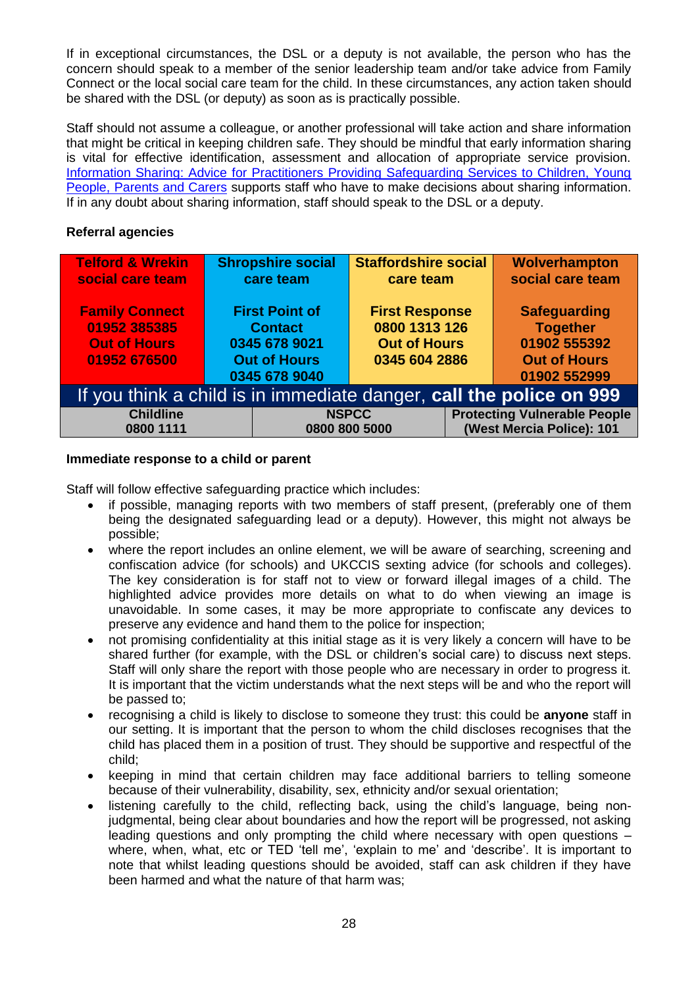If in exceptional circumstances, the DSL or a deputy is not available, the person who has the concern should speak to a member of the senior leadership team and/or take advice from Family Connect or the local social care team for the child. In these circumstances, any action taken should be shared with the DSL (or deputy) as soon as is practically possible.

Staff should not assume a colleague, or another professional will take action and share information that might be critical in keeping children safe. They should be mindful that early information sharing is vital for effective identification, assessment and allocation of appropriate service provision. [Information Sharing: Advice for Practitioners Providing Safeguarding Services to Children, Young](https://www.gov.uk/government/publications/safeguarding-practitioners-information-sharing-advice)  [People, Parents and Carers](https://www.gov.uk/government/publications/safeguarding-practitioners-information-sharing-advice) supports staff who have to make decisions about sharing information. If in any doubt about sharing information, staff should speak to the DSL or a deputy.

# **Referral agencies**

| <b>Telford &amp; Wrekin</b>                                         | <b>Shropshire social</b> | <b>Staffordshire social</b> |  | <b>Wolverhampton</b>                |  |  |
|---------------------------------------------------------------------|--------------------------|-----------------------------|--|-------------------------------------|--|--|
| social care team                                                    | care team                | care team                   |  | social care team                    |  |  |
|                                                                     |                          |                             |  |                                     |  |  |
| <b>Family Connect</b>                                               | <b>First Point of</b>    | <b>First Response</b>       |  | <b>Safeguarding</b>                 |  |  |
| 01952 385385                                                        | <b>Contact</b>           | 0800 1313 126               |  | <b>Together</b>                     |  |  |
| <b>Out of Hours</b>                                                 | 0345 678 9021            | <b>Out of Hours</b>         |  | 01902 555392                        |  |  |
| 01952 676500                                                        | <b>Out of Hours</b>      | 0345 604 2886               |  | <b>Out of Hours</b>                 |  |  |
|                                                                     | 0345 678 9040            |                             |  | 01902 552999                        |  |  |
| If you think a child is in immediate danger, call the police on 999 |                          |                             |  |                                     |  |  |
| <b>Childline</b>                                                    |                          | <b>NSPCC</b>                |  | <b>Protecting Vulnerable People</b> |  |  |
| 0800 1111                                                           | 0800 800 5000            |                             |  | (West Mercia Police): 101           |  |  |

#### **Immediate response to a child or parent**

Staff will follow effective safeguarding practice which includes:

- if possible, managing reports with two members of staff present, (preferably one of them being the designated safeguarding lead or a deputy). However, this might not always be possible;
- where the report includes an online element, we will be aware of searching, screening and confiscation advice (for schools) and UKCCIS sexting advice (for schools and colleges). The key consideration is for staff not to view or forward illegal images of a child. The highlighted advice provides more details on what to do when viewing an image is unavoidable. In some cases, it may be more appropriate to confiscate any devices to preserve any evidence and hand them to the police for inspection;
- not promising confidentiality at this initial stage as it is very likely a concern will have to be shared further (for example, with the DSL or children's social care) to discuss next steps. Staff will only share the report with those people who are necessary in order to progress it. It is important that the victim understands what the next steps will be and who the report will be passed to;
- recognising a child is likely to disclose to someone they trust: this could be **anyone** staff in our setting. It is important that the person to whom the child discloses recognises that the child has placed them in a position of trust. They should be supportive and respectful of the child;
- keeping in mind that certain children may face additional barriers to telling someone because of their vulnerability, disability, sex, ethnicity and/or sexual orientation;
- listening carefully to the child, reflecting back, using the child's language, being nonjudgmental, being clear about boundaries and how the report will be progressed, not asking leading questions and only prompting the child where necessary with open questions – where, when, what, etc or TED 'tell me', 'explain to me' and 'describe'. It is important to note that whilst leading questions should be avoided, staff can ask children if they have been harmed and what the nature of that harm was;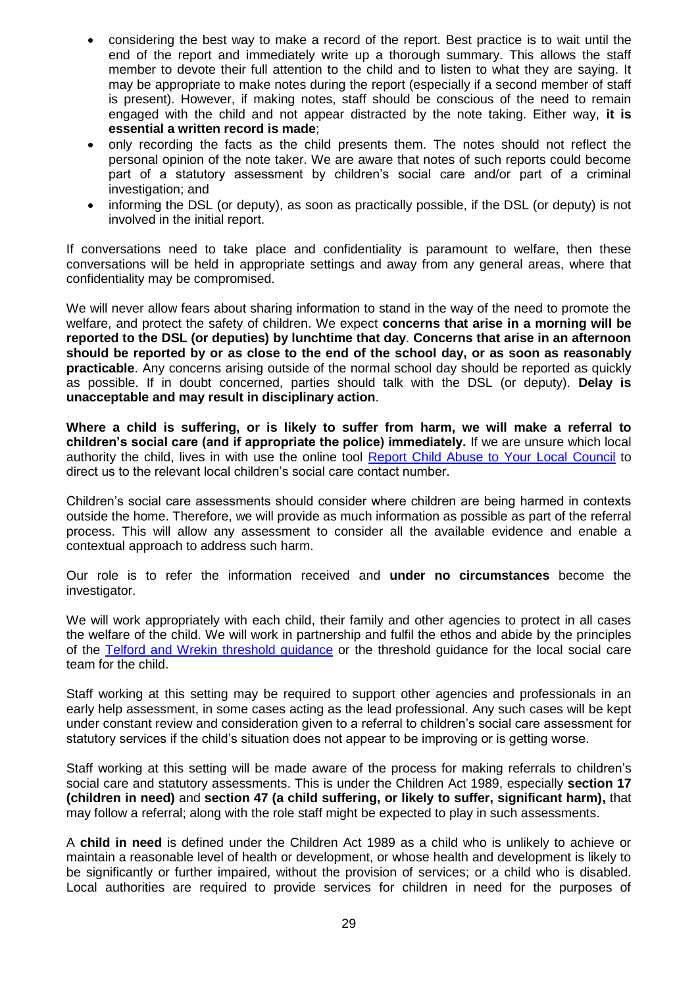- considering the best way to make a record of the report. Best practice is to wait until the end of the report and immediately write up a thorough summary. This allows the staff member to devote their full attention to the child and to listen to what they are saying. It may be appropriate to make notes during the report (especially if a second member of staff is present). However, if making notes, staff should be conscious of the need to remain engaged with the child and not appear distracted by the note taking. Either way, **it is essential a written record is made**;
- only recording the facts as the child presents them. The notes should not reflect the personal opinion of the note taker. We are aware that notes of such reports could become part of a statutory assessment by children's social care and/or part of a criminal investigation; and
- informing the DSL (or deputy), as soon as practically possible, if the DSL (or deputy) is not involved in the initial report.

If conversations need to take place and confidentiality is paramount to welfare, then these conversations will be held in appropriate settings and away from any general areas, where that confidentiality may be compromised.

We will never allow fears about sharing information to stand in the way of the need to promote the welfare, and protect the safety of children. We expect **concerns that arise in a morning will be reported to the DSL (or deputies) by lunchtime that day**. **Concerns that arise in an afternoon should be reported by or as close to the end of the school day, or as soon as reasonably practicable**. Any concerns arising outside of the normal school day should be reported as quickly as possible. If in doubt concerned, parties should talk with the DSL (or deputy). **Delay is unacceptable and may result in disciplinary action**.

**Where a child is suffering, or is likely to suffer from harm, we will make a referral to children's social care (and if appropriate the police) immediately.** If we are unsure which local authority the child, lives in with use the online tool [Report Child Abuse to Your Local](https://www.gov.uk/report-child-abuse-to-local-council) Council to direct us to the relevant local children's social care contact number.

Children's social care assessments should consider where children are being harmed in contexts outside the home. Therefore, we will provide as much information as possible as part of the referral process. This will allow any assessment to consider all the available evidence and enable a contextual approach to address such harm.

Our role is to refer the information received and **under no circumstances** become the investigator.

We will work appropriately with each child, their family and other agencies to protect in all cases the welfare of the child. We will work in partnership and fulfil the ethos and abide by the principles of the [Telford and Wrekin threshold guidance](http://www.telfordsafeguardingboard.org.uk/lscb/info/13/i_work_with_children_young_people_and_parents/20/policies_procedures_and_guidance) or the threshold guidance for the local social care team for the child.

Staff working at this setting may be required to support other agencies and professionals in an early help assessment, in some cases acting as the lead professional. Any such cases will be kept under constant review and consideration given to a referral to children's social care assessment for statutory services if the child's situation does not appear to be improving or is getting worse.

Staff working at this setting will be made aware of the process for making referrals to children's social care and statutory assessments. This is under the Children Act 1989, especially **section 17 (children in need)** and **section 47 (a child suffering, or likely to suffer, significant harm),** that may follow a referral; along with the role staff might be expected to play in such assessments.

A **child in need** is defined under the Children Act 1989 as a child who is unlikely to achieve or maintain a reasonable level of health or development, or whose health and development is likely to be significantly or further impaired, without the provision of services; or a child who is disabled. Local authorities are required to provide services for children in need for the purposes of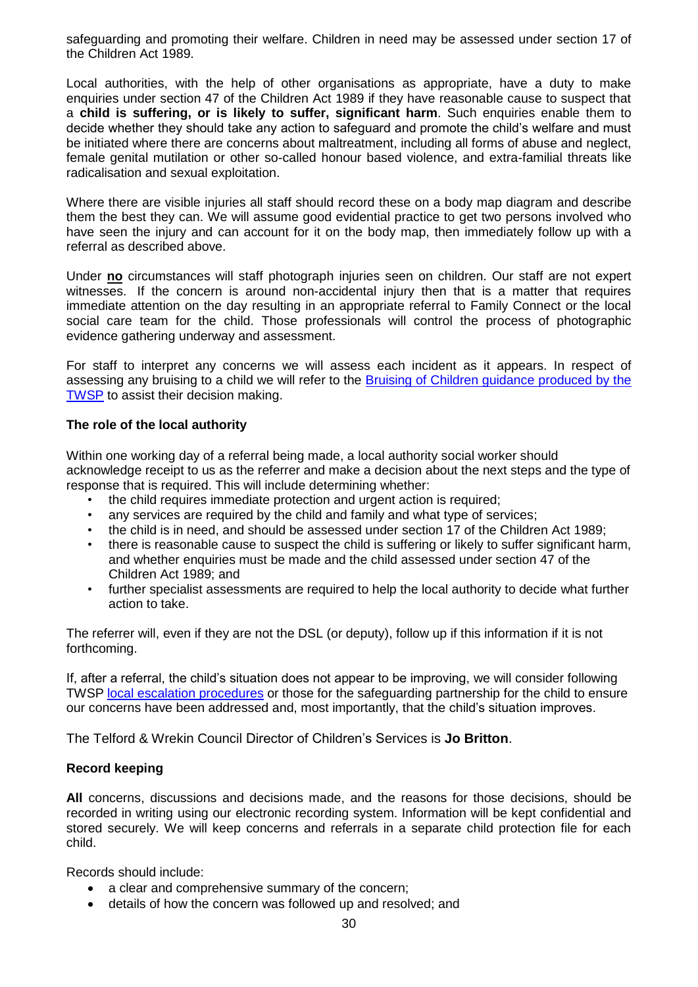safeguarding and promoting their welfare. Children in need may be assessed under section 17 of the Children Act 1989.

Local authorities, with the help of other organisations as appropriate, have a duty to make enquiries under section 47 of the Children Act 1989 if they have reasonable cause to suspect that a **child is suffering, or is likely to suffer, significant harm**. Such enquiries enable them to decide whether they should take any action to safeguard and promote the child's welfare and must be initiated where there are concerns about maltreatment, including all forms of abuse and neglect, female genital mutilation or other so-called honour based violence, and extra-familial threats like radicalisation and sexual exploitation.

Where there are visible injuries all staff should record these on a body map diagram and describe them the best they can. We will assume good evidential practice to get two persons involved who have seen the injury and can account for it on the body map, then immediately follow up with a referral as described above.

Under **no** circumstances will staff photograph injuries seen on children. Our staff are not expert witnesses. If the concern is around non-accidental injury then that is a matter that requires immediate attention on the day resulting in an appropriate referral to Family Connect or the local social care team for the child. Those professionals will control the process of photographic evidence gathering underway and assessment.

For staff to interpret any concerns we will assess each incident as it appears. In respect of assessing any bruising to a child we will refer to the [Bruising of Children guidance produced by the](https://www.telfordsafeguardingpartnership.org.uk/downloads/file/58/bruising-in-children)  [TWSP](https://www.telfordsafeguardingpartnership.org.uk/downloads/file/58/bruising-in-children) to assist their decision making.

# **The role of the local authority**

Within one working day of a referral being made, a local authority social worker should acknowledge receipt to us as the referrer and make a decision about the next steps and the type of response that is required. This will include determining whether:

- the child requires immediate protection and urgent action is required;
- any services are required by the child and family and what type of services;
- the child is in need, and should be assessed under section 17 of the Children Act 1989;
- there is reasonable cause to suspect the child is suffering or likely to suffer significant harm, and whether enquiries must be made and the child assessed under section 47 of the Children Act 1989; and
- further specialist assessments are required to help the local authority to decide what further action to take.

The referrer will, even if they are not the DSL (or deputy), follow up if this information if it is not forthcoming.

If, after a referral, the child's situation does not appear to be improving, we will consider following TWSP [local escalation procedures](http://www.telfordsafeguardingboard.org.uk/lscb/info/13/i_work_with_children_young_people_and_parents/20/policies_procedures_and_guidance) or those for the safeguarding partnership for the child to ensure our concerns have been addressed and, most importantly, that the child's situation improves.

The Telford & Wrekin Council Director of Children's Services is **Jo Britton**.

# **Record keeping**

**All** concerns, discussions and decisions made, and the reasons for those decisions, should be recorded in writing using our electronic recording system. Information will be kept confidential and stored securely. We will keep concerns and referrals in a separate child protection file for each child.

Records should include:

- a clear and comprehensive summary of the concern;
- details of how the concern was followed up and resolved; and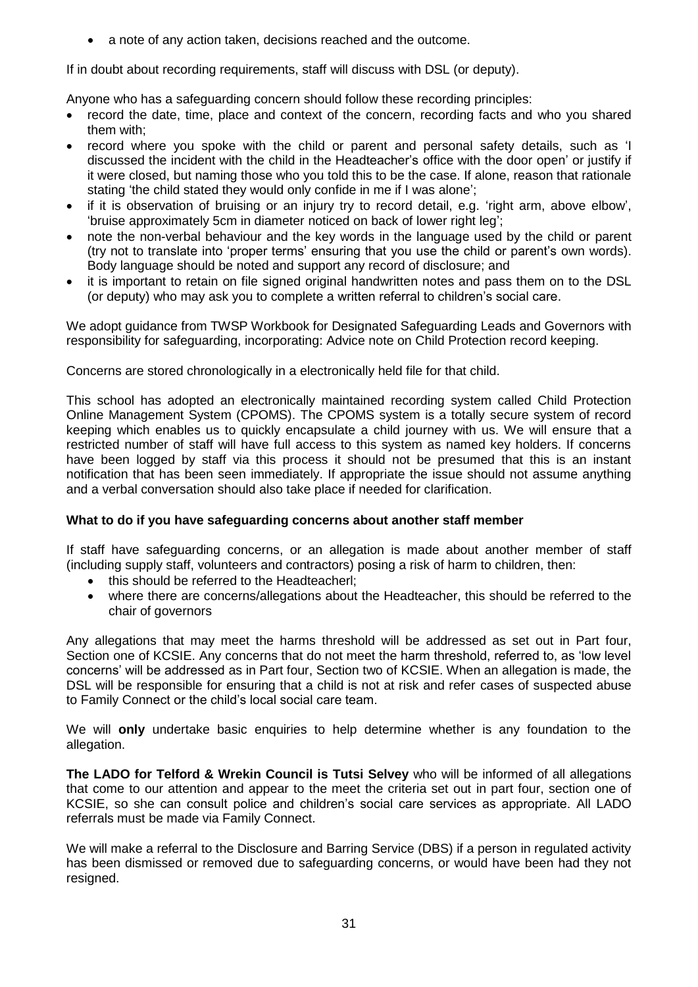a note of any action taken, decisions reached and the outcome.

If in doubt about recording requirements, staff will discuss with DSL (or deputy).

Anyone who has a safeguarding concern should follow these recording principles:

- record the date, time, place and context of the concern, recording facts and who you shared them with;
- record where you spoke with the child or parent and personal safety details, such as 'I discussed the incident with the child in the Headteacher's office with the door open' or justify if it were closed, but naming those who you told this to be the case. If alone, reason that rationale stating 'the child stated they would only confide in me if I was alone';
- if it is observation of bruising or an injury try to record detail, e.g. 'right arm, above elbow', 'bruise approximately 5cm in diameter noticed on back of lower right leg';
- note the non-verbal behaviour and the key words in the language used by the child or parent (try not to translate into 'proper terms' ensuring that you use the child or parent's own words). Body language should be noted and support any record of disclosure; and
- it is important to retain on file signed original handwritten notes and pass them on to the DSL (or deputy) who may ask you to complete a written referral to children's social care.

We adopt guidance from TWSP Workbook for Designated Safeguarding Leads and Governors with responsibility for safeguarding, incorporating: Advice note on Child Protection record keeping.

Concerns are stored chronologically in a electronically held file for that child.

This school has adopted an electronically maintained recording system called Child Protection Online Management System (CPOMS). The CPOMS system is a totally secure system of record keeping which enables us to quickly encapsulate a child journey with us. We will ensure that a restricted number of staff will have full access to this system as named key holders. If concerns have been logged by staff via this process it should not be presumed that this is an instant notification that has been seen immediately. If appropriate the issue should not assume anything and a verbal conversation should also take place if needed for clarification.

# **What to do if you have safeguarding concerns about another staff member**

If staff have safeguarding concerns, or an allegation is made about another member of staff (including supply staff, volunteers and contractors) posing a risk of harm to children, then:

- this should be referred to the Headteacherl;
- where there are concerns/allegations about the Headteacher, this should be referred to the chair of governors

Any allegations that may meet the harms threshold will be addressed as set out in Part four, Section one of KCSIE. Any concerns that do not meet the harm threshold, referred to, as 'low level concerns' will be addressed as in Part four, Section two of KCSIE. When an allegation is made, the DSL will be responsible for ensuring that a child is not at risk and refer cases of suspected abuse to Family Connect or the child's local social care team.

We will **only** undertake basic enquiries to help determine whether is any foundation to the allegation.

**The LADO for Telford & Wrekin Council is Tutsi Selvey** who will be informed of all allegations that come to our attention and appear to the meet the criteria set out in part four, section one of KCSIE, so she can consult police and children's social care services as appropriate. All LADO referrals must be made via Family Connect.

We will make a referral to the Disclosure and Barring Service (DBS) if a person in regulated activity has been dismissed or removed due to safeguarding concerns, or would have been had they not resigned.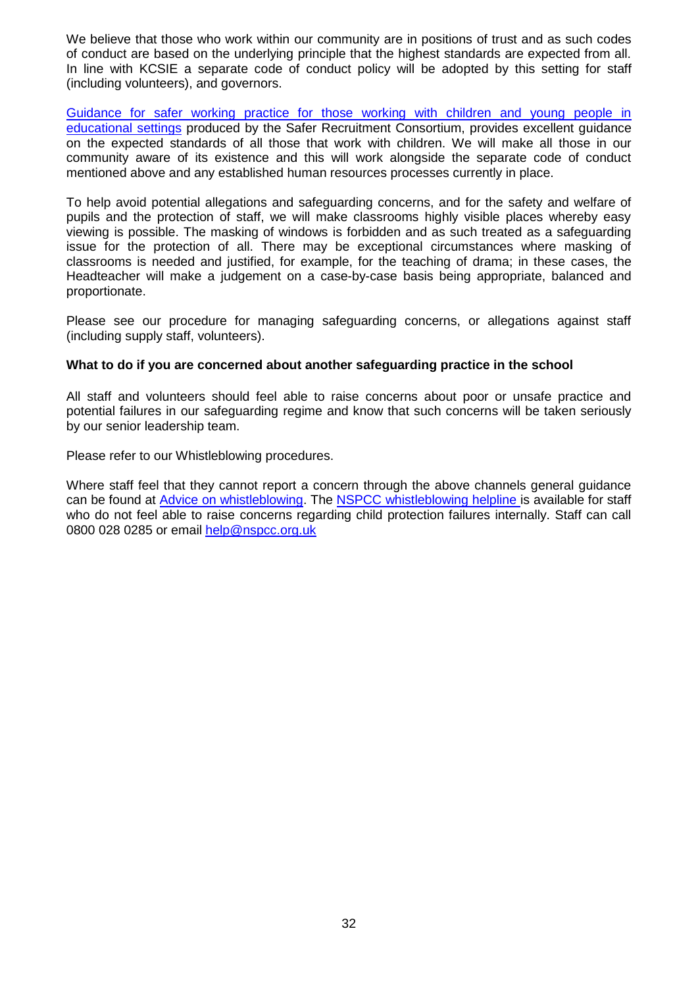We believe that those who work within our community are in positions of trust and as such codes of conduct are based on the underlying principle that the highest standards are expected from all. In line with KCSIE a separate code of conduct policy will be adopted by this setting for staff (including volunteers), and governors.

[Guidance for safer working practice for those working with children and young people in](https://saferrecruitmentconsortium.org/)  [educational settings](https://saferrecruitmentconsortium.org/) produced by the Safer Recruitment Consortium, provides excellent guidance on the expected standards of all those that work with children. We will make all those in our community aware of its existence and this will work alongside the separate code of conduct mentioned above and any established human resources processes currently in place.

To help avoid potential allegations and safeguarding concerns, and for the safety and welfare of pupils and the protection of staff, we will make classrooms highly visible places whereby easy viewing is possible. The masking of windows is forbidden and as such treated as a safeguarding issue for the protection of all. There may be exceptional circumstances where masking of classrooms is needed and justified, for example, for the teaching of drama; in these cases, the Headteacher will make a judgement on a case-by-case basis being appropriate, balanced and proportionate.

Please see our procedure for managing safeguarding concerns, or allegations against staff (including supply staff, volunteers).

# **What to do if you are concerned about another safeguarding practice in the school**

All staff and volunteers should feel able to raise concerns about poor or unsafe practice and potential failures in our safeguarding regime and know that such concerns will be taken seriously by our senior leadership team.

Please refer to our Whistleblowing procedures.

Where staff feel that they cannot report a concern through the above channels general guidance can be found at [Advice on whistleblowing.](https://www.nspcc.org.uk/what-you-can-do/report-abuse/dedicated-helplines/whistleblowing-advice-line/?_t_id=1B2M2Y8AsgTpgAmY7PhCfg%3d%3d&_t_q=whistleblowing&_t_tags=language%3aen%2csiteid%3a7f1b9313-bf5e-4415-abf6-aaf87298c667&_t_ip=10.99.66.5&_t_hit.id=Nspcc_Web_Models_Pages_StandardPage/_f987ad5d-9f65-4e61-884e-47a48b5ac146_en-GB&_t_hit.pos=1) The [NSPCC whistleblowing helpline](https://www.nspcc.org.uk/what-you-can-do/report-abuse/dedicated-helplines/whistleblowing-advice-line/?_t_id=1B2M2Y8AsgTpgAmY7PhCfg%3d%3d&_t_q=whistleblowing&_t_tags=language%3aen%2csiteid%3a7f1b9313-bf5e-4415-abf6-aaf87298c667&_t_ip=10.99.66.5&_t_hit.id=Nspcc_Web_Models_Pages_StandardPage/_f987ad5d-9f65-4e61-884e-47a48b5ac146_en-GB&_t_hit.pos=1) is available for staff who do not feel able to raise concerns regarding child protection failures internally. Staff can call 0800 028 0285 or email [help@nspcc.org.uk](mailto:help@nspcc.org.uk)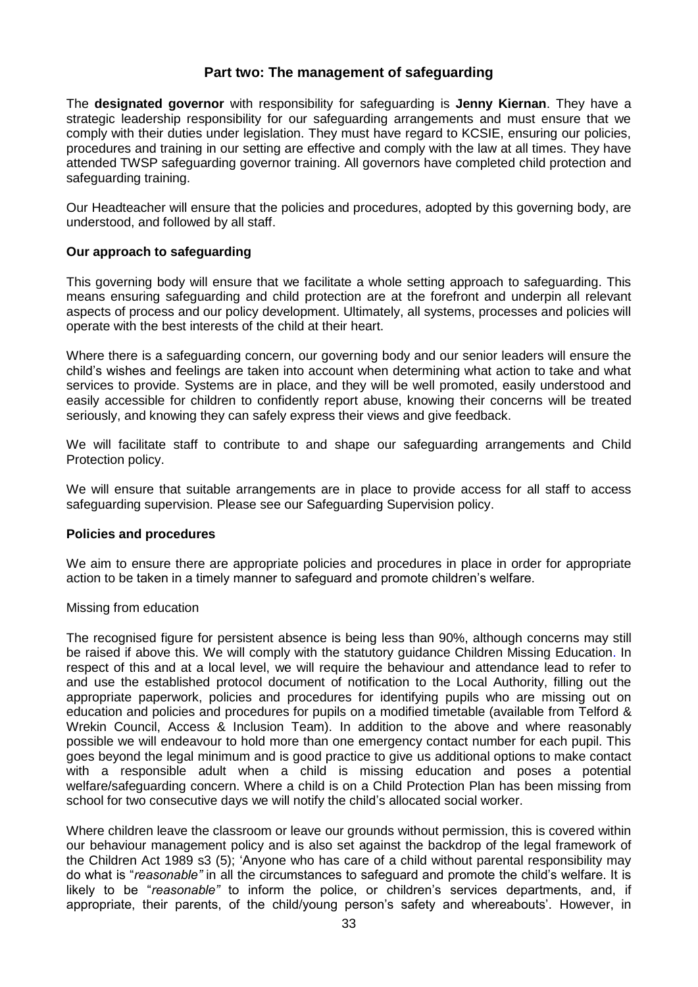# **Part two: The management of safeguarding**

The **designated governor** with responsibility for safeguarding is **Jenny Kiernan**. They have a strategic leadership responsibility for our safeguarding arrangements and must ensure that we comply with their duties under legislation. They must have regard to KCSIE, ensuring our policies, procedures and training in our setting are effective and comply with the law at all times. They have attended TWSP safeguarding governor training. All governors have completed child protection and safeguarding training.

Our Headteacher will ensure that the policies and procedures, adopted by this governing body, are understood, and followed by all staff.

# **Our approach to safeguarding**

This governing body will ensure that we facilitate a whole setting approach to safeguarding. This means ensuring safeguarding and child protection are at the forefront and underpin all relevant aspects of process and our policy development. Ultimately, all systems, processes and policies will operate with the best interests of the child at their heart.

Where there is a safeguarding concern, our governing body and our senior leaders will ensure the child's wishes and feelings are taken into account when determining what action to take and what services to provide. Systems are in place, and they will be well promoted, easily understood and easily accessible for children to confidently report abuse, knowing their concerns will be treated seriously, and knowing they can safely express their views and give feedback.

We will facilitate staff to contribute to and shape our safeguarding arrangements and Child Protection policy.

We will ensure that suitable arrangements are in place to provide access for all staff to access safeguarding supervision. Please see our Safeguarding Supervision policy.

#### **Policies and procedures**

We aim to ensure there are appropriate policies and procedures in place in order for appropriate action to be taken in a timely manner to safeguard and promote children's welfare.

#### Missing from education

The recognised figure for persistent absence is being less than 90%, although concerns may still be raised if above this. We will comply with the statutory guidance [Children Missing Education.](https://www.gov.uk/government/publications/children-missing-education) In respect of this and at a local level, we will require the behaviour and attendance lead to refer to and use the established protocol document of notification to the Local Authority, filling out the appropriate paperwork, policies and procedures for identifying pupils who are missing out on education and policies and procedures for pupils on a modified timetable (available from Telford & Wrekin Council, Access & Inclusion Team). In addition to the above and where reasonably possible we will endeavour to hold more than one emergency contact number for each pupil. This goes beyond the legal minimum and is good practice to give us additional options to make contact with a responsible adult when a child is missing education and poses a potential welfare/safeguarding concern. Where a child is on a Child Protection Plan has been missing from school for two consecutive days we will notify the child's allocated social worker.

Where children leave the classroom or leave our grounds without permission, this is covered within our behaviour management policy and is also set against the backdrop of the legal framework of the Children Act 1989 s3 (5); 'Anyone who has care of a child without parental responsibility may do what is "*reasonable"* in all the circumstances to safeguard and promote the child's welfare. It is likely to be "*reasonable"* to inform the police, or children's services departments, and, if appropriate, their parents, of the child/young person's safety and whereabouts'. However, in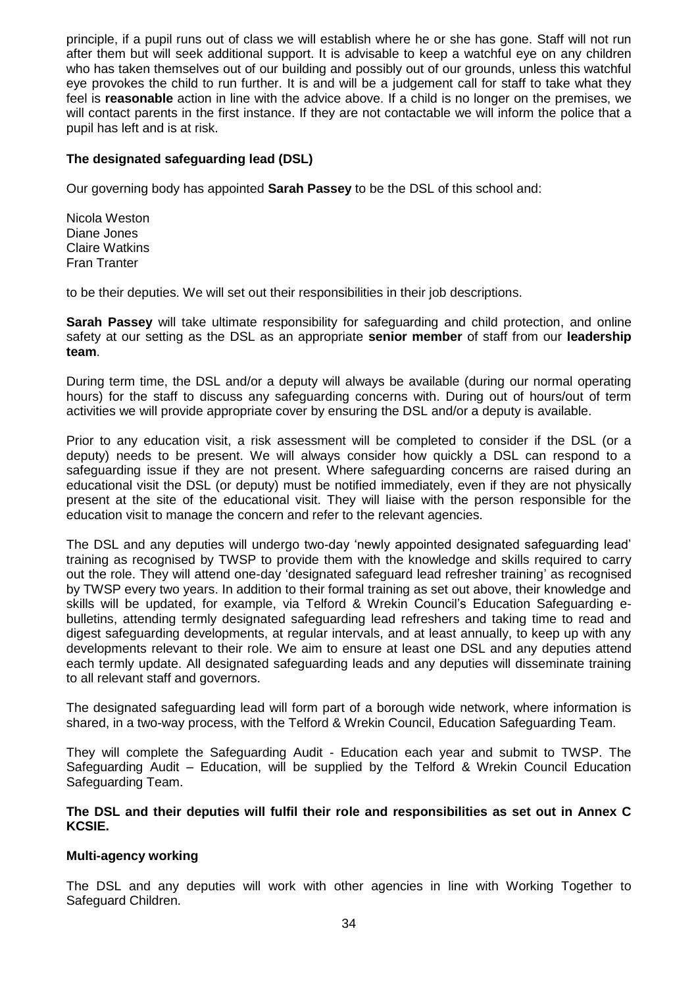principle, if a pupil runs out of class we will establish where he or she has gone. Staff will not run after them but will seek additional support. It is advisable to keep a watchful eye on any children who has taken themselves out of our building and possibly out of our grounds, unless this watchful eye provokes the child to run further. It is and will be a judgement call for staff to take what they feel is **reasonable** action in line with the advice above. If a child is no longer on the premises, we will contact parents in the first instance. If they are not contactable we will inform the police that a pupil has left and is at risk.

# **The designated safeguarding lead (DSL)**

Our governing body has appointed **Sarah Passey** to be the DSL of this school and:

Nicola Weston Diane Jones Claire Watkins Fran Tranter

to be their deputies. We will set out their responsibilities in their job descriptions.

**Sarah Passey** will take ultimate responsibility for safeguarding and child protection, and online safety at our setting as the DSL as an appropriate **senior member** of staff from our **leadership team**.

During term time, the DSL and/or a deputy will always be available (during our normal operating hours) for the staff to discuss any safeguarding concerns with. During out of hours/out of term activities we will provide appropriate cover by ensuring the DSL and/or a deputy is available.

Prior to any education visit, a risk assessment will be completed to consider if the DSL (or a deputy) needs to be present. We will always consider how quickly a DSL can respond to a safeguarding issue if they are not present. Where safeguarding concerns are raised during an educational visit the DSL (or deputy) must be notified immediately, even if they are not physically present at the site of the educational visit. They will liaise with the person responsible for the education visit to manage the concern and refer to the relevant agencies.

The DSL and any deputies will undergo two-day 'newly appointed designated safeguarding lead' training as recognised by TWSP to provide them with the knowledge and skills required to carry out the role. They will attend one-day 'designated safeguard lead refresher training' as recognised by TWSP every two years. In addition to their formal training as set out above, their knowledge and skills will be updated, for example, via Telford & Wrekin Council's Education Safeguarding ebulletins, attending termly designated safeguarding lead refreshers and taking time to read and digest safeguarding developments, at regular intervals, and at least annually, to keep up with any developments relevant to their role. We aim to ensure at least one DSL and any deputies attend each termly update. All designated safeguarding leads and any deputies will disseminate training to all relevant staff and governors.

The designated safeguarding lead will form part of a borough wide network, where information is shared, in a two-way process, with the Telford & Wrekin Council, Education Safeguarding Team.

They will complete the Safeguarding Audit - Education each year and submit to TWSP. The Safeguarding Audit – Education, will be supplied by the Telford & Wrekin Council Education Safeguarding Team.

#### **The DSL and their deputies will fulfil their role and responsibilities as set out in Annex C KCSIE.**

# **Multi-agency working**

The DSL and any deputies will work with other agencies in line with Working Together to Safeguard Children.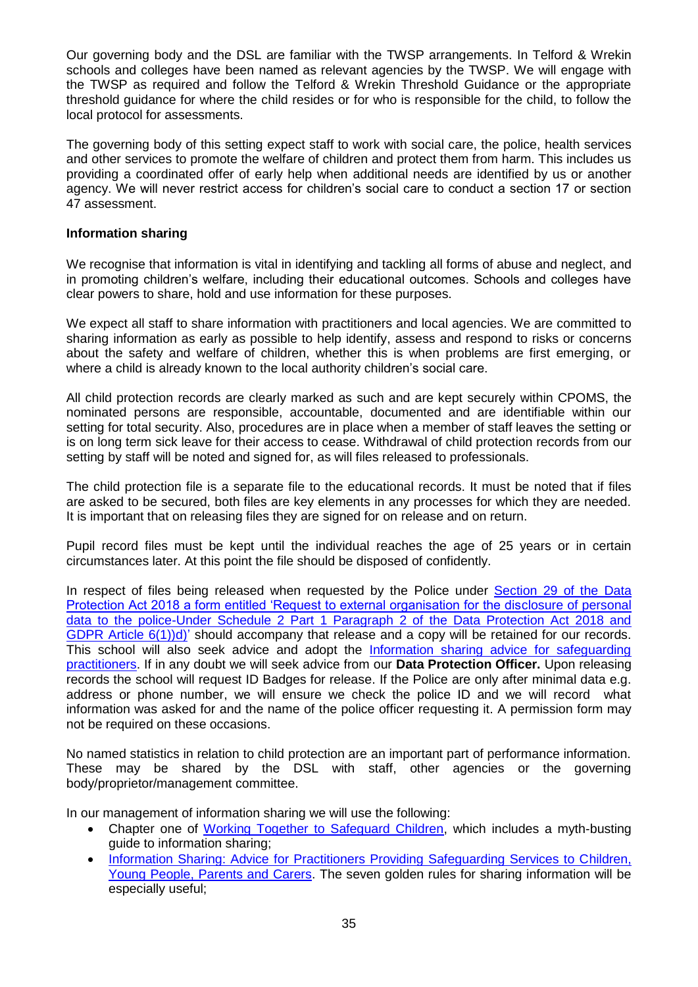Our governing body and the DSL are familiar with the TWSP arrangements. In Telford & Wrekin schools and colleges have been named as relevant agencies by the TWSP. We will engage with the TWSP as required and follow the Telford & Wrekin Threshold Guidance or the appropriate threshold guidance for where the child resides or for who is responsible for the child, to follow the local protocol for assessments.

The governing body of this setting expect staff to work with social care, the police, health services and other services to promote the welfare of children and protect them from harm. This includes us providing a coordinated offer of early help when additional needs are identified by us or another agency. We will never restrict access for children's social care to conduct a section 17 or section 47 assessment.

# **Information sharing**

We recognise that information is vital in identifying and tackling all forms of abuse and neglect, and in promoting children's welfare, including their educational outcomes. Schools and colleges have clear powers to share, hold and use information for these purposes.

We expect all staff to share information with practitioners and local agencies. We are committed to sharing information as early as possible to help identify, assess and respond to risks or concerns about the safety and welfare of children, whether this is when problems are first emerging, or where a child is already known to the local authority children's social care.

All child protection records are clearly marked as such and are kept securely within CPOMS, the nominated persons are responsible, accountable, documented and are identifiable within our setting for total security. Also, procedures are in place when a member of staff leaves the setting or is on long term sick leave for their access to cease. Withdrawal of child protection records from our setting by staff will be noted and signed for, as will files released to professionals.

The child protection file is a separate file to the educational records. It must be noted that if files are asked to be secured, both files are key elements in any processes for which they are needed. It is important that on releasing files they are signed for on release and on return.

Pupil record files must be kept until the individual reaches the age of 25 years or in certain circumstances later. At this point the file should be disposed of confidently.

In respect of files being released when requested by the Police under [Section 29 of the Data](http://www.telfordsafeguardingboard.org.uk/lscb/downloads/file/257/releasing_records_-_t_and_w_guidance_-_section_29_form)  [Protection Act 2018 a form entitled 'Request to external organisation for the disclosure of personal](http://www.telfordsafeguardingboard.org.uk/lscb/downloads/file/257/releasing_records_-_t_and_w_guidance_-_section_29_form)  data to the police-Under Schedule 2 Part 1 Paragraph 2 of the Data Protection Act 2018 and [GDPR Article 6\(1\)\)d\)'](http://www.telfordsafeguardingboard.org.uk/lscb/downloads/file/257/releasing_records_-_t_and_w_guidance_-_section_29_form) should accompany that release and a copy will be retained for our records. This school will also seek advice and adopt the [Information sharing advice for safeguarding](https://www.gov.uk/government/publications/safeguarding-practitioners-information-sharing-advice)  [practitioners.](https://www.gov.uk/government/publications/safeguarding-practitioners-information-sharing-advice) If in any doubt we will seek advice from our **Data Protection Officer.** Upon releasing records the school will request ID Badges for release. If the Police are only after minimal data e.g. address or phone number, we will ensure we check the police ID and we will record what information was asked for and the name of the police officer requesting it. A permission form may not be required on these occasions.

No named statistics in relation to child protection are an important part of performance information. These may be shared by the DSL with staff, other agencies or the governing body/proprietor/management committee.

In our management of information sharing we will use the following:

- Chapter one of [Working Together to Safeguard Children,](https://www.gov.uk/government/publications/working-together-to-safeguard-children--2) which includes a myth-busting guide to information sharing;
- Information Sharing: Advice for Practitioners Providing Safeguarding Services to Children, [Young People, Parents and Carers.](https://www.gov.uk/government/publications/safeguarding-practitioners-information-sharing-advice) The seven golden rules for sharing information will be especially useful;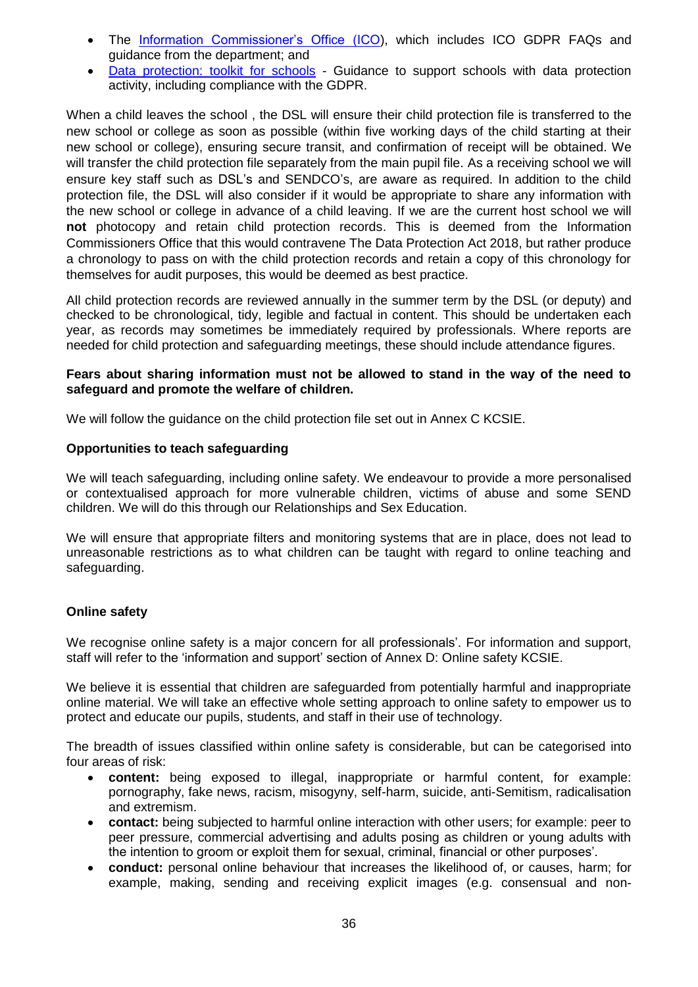- The [Information Commissioner's Office \(ICO\)](https://ico.org.uk/for-organisations/business/), which includes ICO GDPR FAQs and guidance from the department; and
- [Data protection: toolkit for schools](https://www.gov.uk/government/publications/data-protection-toolkit-for-schools) Guidance to support schools with data protection activity, including compliance with the GDPR.

When a child leaves the school , the DSL will ensure their child protection file is transferred to the new school or college as soon as possible (within five working days of the child starting at their new school or college), ensuring secure transit, and confirmation of receipt will be obtained. We will transfer the child protection file separately from the main pupil file. As a receiving school we will ensure key staff such as DSL's and SENDCO's, are aware as required. In addition to the child protection file, the DSL will also consider if it would be appropriate to share any information with the new school or college in advance of a child leaving. If we are the current host school we will **not** photocopy and retain child protection records. This is deemed from the Information Commissioners Office that this would contravene The Data Protection Act 2018, but rather produce a chronology to pass on with the child protection records and retain a copy of this chronology for themselves for audit purposes, this would be deemed as best practice.

All child protection records are reviewed annually in the summer term by the DSL (or deputy) and checked to be chronological, tidy, legible and factual in content. This should be undertaken each year, as records may sometimes be immediately required by professionals. Where reports are needed for child protection and safeguarding meetings, these should include attendance figures.

## **Fears about sharing information must not be allowed to stand in the way of the need to safeguard and promote the welfare of children.**

We will follow the guidance on the child protection file set out in Annex C KCSIE.

# **Opportunities to teach safeguarding**

We will teach safeguarding, including online safety. We endeavour to provide a more personalised or contextualised approach for more vulnerable children, victims of abuse and some SEND children. We will do this through our Relationships and Sex Education.

We will ensure that appropriate filters and monitoring systems that are in place, does not lead to unreasonable restrictions as to what children can be taught with regard to online teaching and safeguarding.

# **Online safety**

We recognise online safety is a major concern for all professionals'. For information and support, staff will refer to the 'information and support' section of Annex D: Online safety KCSIE.

We believe it is essential that children are safeguarded from potentially harmful and inappropriate online material. We will take an effective whole setting approach to online safety to empower us to protect and educate our pupils, students, and staff in their use of technology.

The breadth of issues classified within online safety is considerable, but can be categorised into four areas of risk:

- **content:** being exposed to illegal, inappropriate or harmful content, for example: pornography, fake news, racism, misogyny, self-harm, suicide, anti-Semitism, radicalisation and extremism.
- **contact:** being subjected to harmful online interaction with other users; for example: peer to peer pressure, commercial advertising and adults posing as children or young adults with the intention to groom or exploit them for sexual, criminal, financial or other purposes'.
- **conduct:** personal online behaviour that increases the likelihood of, or causes, harm; for example, making, sending and receiving explicit images (e.g. consensual and non-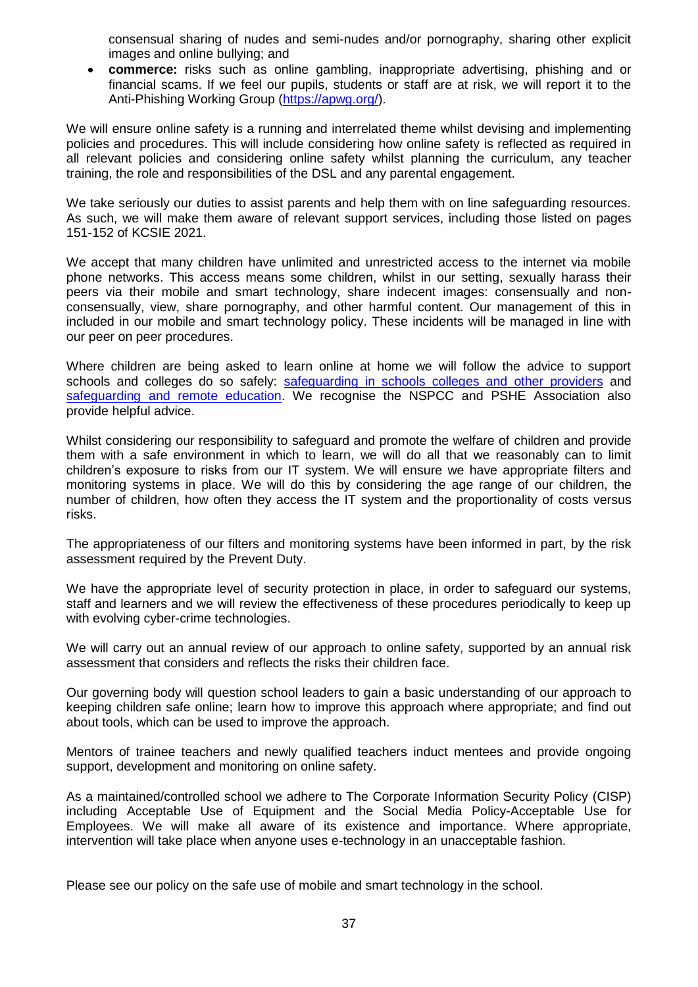consensual sharing of nudes and semi-nudes and/or pornography, sharing other explicit images and online bullying; and

 **commerce:** risks such as online gambling, inappropriate advertising, phishing and or financial scams. If we feel our pupils, students or staff are at risk, we will report it to the Anti-Phishing Working Group [\(https://apwg.org/\)](https://apwg.org/).

We will ensure online safety is a running and interrelated theme whilst devising and implementing policies and procedures. This will include considering how online safety is reflected as required in all relevant policies and considering online safety whilst planning the curriculum, any teacher training, the role and responsibilities of the DSL and any parental engagement.

We take seriously our duties to assist parents and help them with on line safeguarding resources. As such, we will make them aware of relevant support services, including those listed on pages 151-152 of KCSIE 2021.

We accept that many children have unlimited and unrestricted access to the internet via mobile phone networks. This access means some children, whilst in our setting, sexually harass their peers via their mobile and smart technology, share indecent images: consensually and nonconsensually, view, share pornography, and other harmful content. Our management of this in included in our mobile and smart technology policy. These incidents will be managed in line with our peer on peer procedures.

Where children are being asked to learn online at home we will follow the advice to support schools and colleges do so safely: [safeguarding in schools colleges and other providers](https://www.gov.uk/government/publications/covid-19-safeguarding-in-schools-colleges-and-other-providers/coronavirus-covid-19-safeguarding-in-schools-colleges-and-other-providers) and [safeguarding and remote education.](https://www.gov.uk/guidance/safeguarding-and-remote-education-during-coronavirus-covid-19) We recognise the NSPCC and PSHE Association also provide helpful advice.

Whilst considering our responsibility to safeguard and promote the welfare of children and provide them with a safe environment in which to learn, we will do all that we reasonably can to limit children's exposure to risks from our IT system. We will ensure we have appropriate filters and monitoring systems in place. We will do this by considering the age range of our children, the number of children, how often they access the IT system and the proportionality of costs versus risks.

The appropriateness of our filters and monitoring systems have been informed in part, by the risk assessment required by the Prevent Duty.

We have the appropriate level of security protection in place, in order to safequard our systems, staff and learners and we will review the effectiveness of these procedures periodically to keep up with evolving cyber-crime technologies.

We will carry out an annual review of our approach to online safety, supported by an annual risk assessment that considers and reflects the risks their children face.

Our governing body will question school leaders to gain a basic understanding of our approach to keeping children safe online; learn how to improve this approach where appropriate; and find out about tools, which can be used to improve the approach.

Mentors of trainee teachers and newly qualified teachers induct mentees and provide ongoing support, development and monitoring on online safety.

As a maintained/controlled school we adhere to The Corporate Information Security Policy (CISP) including Acceptable Use of Equipment and the Social Media Policy-Acceptable Use for Employees. We will make all aware of its existence and importance. Where appropriate, intervention will take place when anyone uses e-technology in an unacceptable fashion.

Please see our policy on the safe use of mobile and smart technology in the school.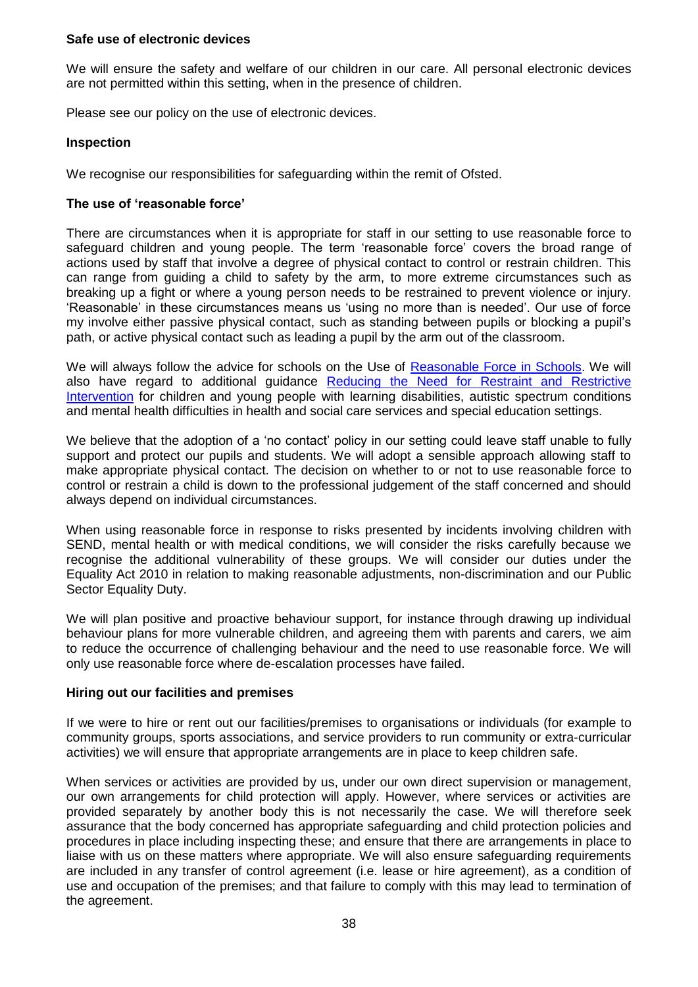## **Safe use of electronic devices**

We will ensure the safety and welfare of our children in our care. All personal electronic devices are not permitted within this setting, when in the presence of children.

Please see our policy on the use of electronic devices.

#### **Inspection**

We recognise our responsibilities for safeguarding within the remit of Ofsted.

## **The use of 'reasonable force'**

There are circumstances when it is appropriate for staff in our setting to use reasonable force to safeguard children and young people. The term 'reasonable force' covers the broad range of actions used by staff that involve a degree of physical contact to control or restrain children. This can range from guiding a child to safety by the arm, to more extreme circumstances such as breaking up a fight or where a young person needs to be restrained to prevent violence or injury. 'Reasonable' in these circumstances means us 'using no more than is needed'. Our use of force my involve either passive physical contact, such as standing between pupils or blocking a pupil's path, or active physical contact such as leading a pupil by the arm out of the classroom.

We will always follow the advice for schools on the Use of [Reasonable Force in Schools.](https://www.gov.uk/government/publications/use-of-reasonable-force-in-schools) We will also have regard to additional guidance Reducing the Need for Restraint and Restrictive [Intervention](https://www.gov.uk/government/publications/reducing-the-need-for-restraint-and-restrictive-intervention) for children and young people with learning disabilities, autistic spectrum conditions and mental health difficulties in health and social care services and special education settings.

We believe that the adoption of a 'no contact' policy in our setting could leave staff unable to fully support and protect our pupils and students. We will adopt a sensible approach allowing staff to make appropriate physical contact. The decision on whether to or not to use reasonable force to control or restrain a child is down to the professional judgement of the staff concerned and should always depend on individual circumstances.

When using reasonable force in response to risks presented by incidents involving children with SEND, mental health or with medical conditions, we will consider the risks carefully because we recognise the additional vulnerability of these groups. We will consider our duties under the Equality Act 2010 in relation to making reasonable adjustments, non-discrimination and our Public Sector Equality Duty.

We will plan positive and proactive behaviour support, for instance through drawing up individual behaviour plans for more vulnerable children, and agreeing them with parents and carers, we aim to reduce the occurrence of challenging behaviour and the need to use reasonable force. We will only use reasonable force where de-escalation processes have failed.

#### **Hiring out our facilities and premises**

If we were to hire or rent out our facilities/premises to organisations or individuals (for example to community groups, sports associations, and service providers to run community or extra-curricular activities) we will ensure that appropriate arrangements are in place to keep children safe.

When services or activities are provided by us, under our own direct supervision or management, our own arrangements for child protection will apply. However, where services or activities are provided separately by another body this is not necessarily the case. We will therefore seek assurance that the body concerned has appropriate safeguarding and child protection policies and procedures in place including inspecting these; and ensure that there are arrangements in place to liaise with us on these matters where appropriate. We will also ensure safeguarding requirements are included in any transfer of control agreement (i.e. lease or hire agreement), as a condition of use and occupation of the premises; and that failure to comply with this may lead to termination of the agreement.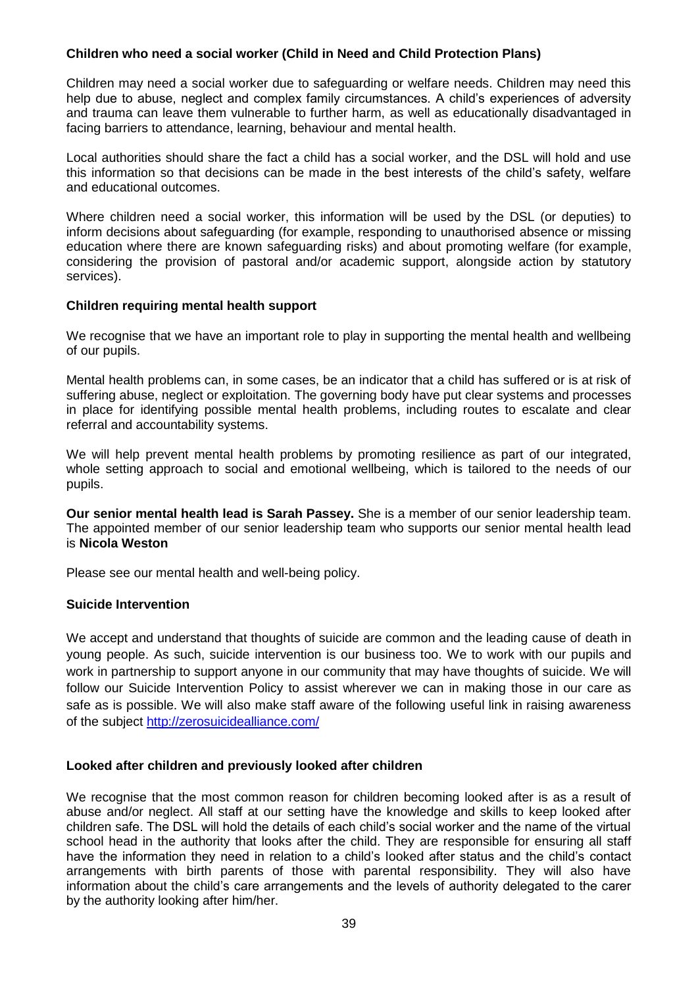# **Children who need a social worker (Child in Need and Child Protection Plans)**

Children may need a social worker due to safeguarding or welfare needs. Children may need this help due to abuse, neglect and complex family circumstances. A child's experiences of adversity and trauma can leave them vulnerable to further harm, as well as educationally disadvantaged in facing barriers to attendance, learning, behaviour and mental health.

Local authorities should share the fact a child has a social worker, and the DSL will hold and use this information so that decisions can be made in the best interests of the child's safety, welfare and educational outcomes.

Where children need a social worker, this information will be used by the DSL (or deputies) to inform decisions about safeguarding (for example, responding to unauthorised absence or missing education where there are known safeguarding risks) and about promoting welfare (for example, considering the provision of pastoral and/or academic support, alongside action by statutory services).

# **Children requiring mental health support**

We recognise that we have an important role to play in supporting the mental health and wellbeing of our pupils.

Mental health problems can, in some cases, be an indicator that a child has suffered or is at risk of suffering abuse, neglect or exploitation. The governing body have put clear systems and processes in place for identifying possible mental health problems, including routes to escalate and clear referral and accountability systems.

We will help prevent mental health problems by promoting resilience as part of our integrated, whole setting approach to social and emotional wellbeing, which is tailored to the needs of our pupils.

**Our senior mental health lead is Sarah Passey.** She is a member of our senior leadership team. The appointed member of our senior leadership team who supports our senior mental health lead is **Nicola Weston**

Please see our mental health and well-being policy.

# **Suicide Intervention**

We accept and understand that thoughts of suicide are common and the leading cause of death in young people. As such, suicide intervention is our business too. We to work with our pupils and work in partnership to support anyone in our community that may have thoughts of suicide. We will follow our [Suicide Intervention Policy](http://www.telfordsafeguardingboard.org.uk/lscb/downloads/file/343/suicide_intervention_policy) to assist wherever we can in making those in our care as safe as is possible. We will also make staff aware of the following useful link in raising awareness of the subject <http://zerosuicidealliance.com/>

# **Looked after children and previously looked after children**

We recognise that the most common reason for children becoming looked after is as a result of abuse and/or neglect. All staff at our setting have the knowledge and skills to keep looked after children safe. The DSL will hold the details of each child's social worker and the name of the virtual school head in the authority that looks after the child. They are responsible for ensuring all staff have the information they need in relation to a child's looked after status and the child's contact arrangements with birth parents of those with parental responsibility. They will also have information about the child's care arrangements and the levels of authority delegated to the carer by the authority looking after him/her.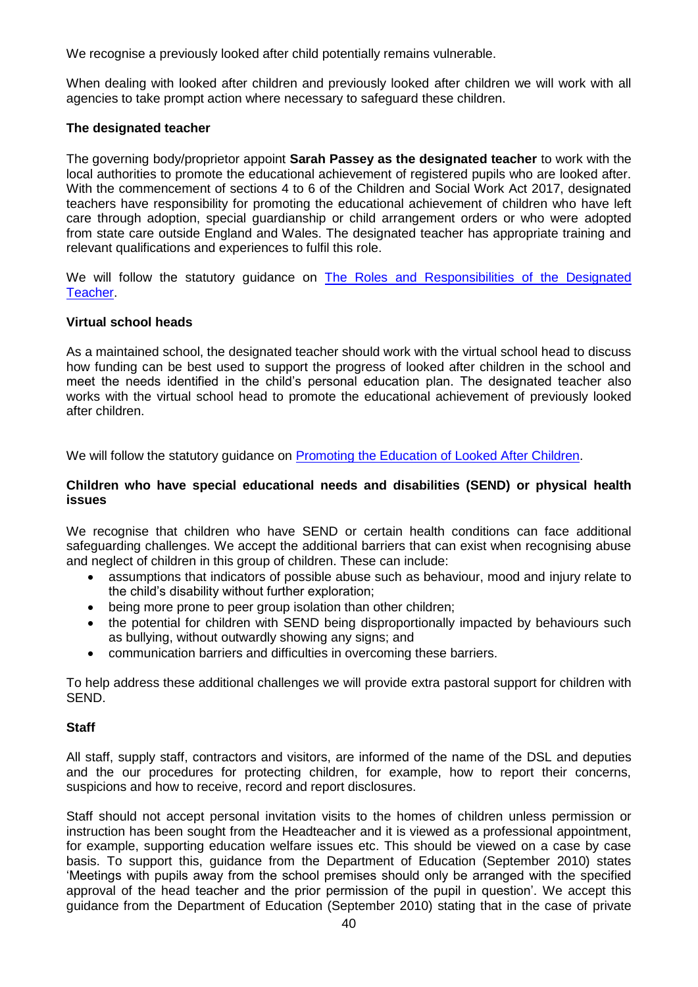We recognise a previously looked after child potentially remains vulnerable.

When dealing with looked after children and previously looked after children we will work with all agencies to take prompt action where necessary to safeguard these children.

#### **The designated teacher**

The governing body/proprietor appoint **Sarah Passey as the designated teacher** to work with the local authorities to promote the educational achievement of registered pupils who are looked after. With the commencement of sections 4 to 6 of the Children and Social Work Act 2017, designated teachers have responsibility for promoting the educational achievement of children who have left care through adoption, special guardianship or child arrangement orders or who were adopted from state care outside England and Wales. The designated teacher has appropriate training and relevant qualifications and experiences to fulfil this role.

We will follow the statutory quidance on The Roles and Responsibilities of the Designated [Teacher.](https://www.gov.uk/government/publications/designated-teacher-for-looked-after-children)

#### **Virtual school heads**

As a maintained school, the designated teacher should work with the virtual school head to discuss how funding can be best used to support the progress of looked after children in the school and meet the needs identified in the child's personal education plan. The designated teacher also works with the virtual school head to promote the educational achievement of previously looked after children.

We will follow the statutory guidance on [Promoting the Education of Looked After Children.](https://www.gov.uk/government/publications/promoting-the-education-of-looked-after-children)

#### **Children who have special educational needs and disabilities (SEND) or physical health issues**

We recognise that children who have SEND or certain health conditions can face additional safeguarding challenges. We accept the additional barriers that can exist when recognising abuse and neglect of children in this group of children. These can include:

- assumptions that indicators of possible abuse such as behaviour, mood and injury relate to the child's disability without further exploration;
- being more prone to peer group isolation than other children;
- the potential for children with SEND being disproportionally impacted by behaviours such as bullying, without outwardly showing any signs; and
- communication barriers and difficulties in overcoming these barriers.

To help address these additional challenges we will provide extra pastoral support for children with SEND.

# **Staff**

All staff, supply staff, contractors and visitors, are informed of the name of the DSL and deputies and the our procedures for protecting children, for example, how to report their concerns, suspicions and how to receive, record and report disclosures.

Staff should not accept personal invitation visits to the homes of children unless permission or instruction has been sought from the Headteacher and it is viewed as a professional appointment, for example, supporting education welfare issues etc. This should be viewed on a case by case basis. To support this, guidance from the Department of Education (September 2010) states 'Meetings with pupils away from the school premises should only be arranged with the specified approval of the head teacher and the prior permission of the pupil in question'. We accept this guidance from the Department of Education (September 2010) stating that in the case of private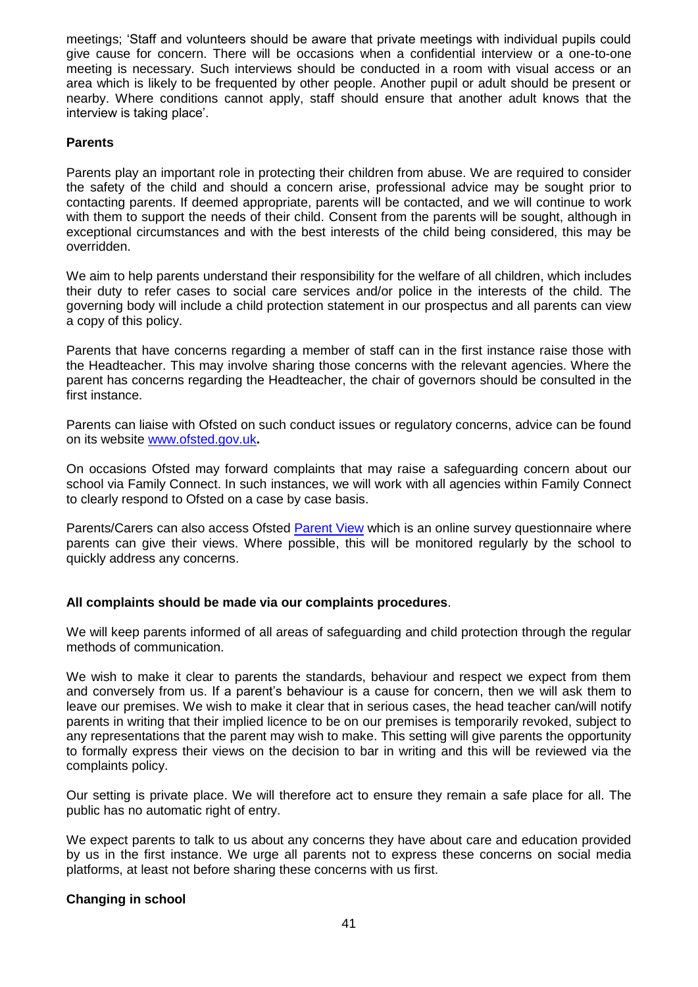meetings; 'Staff and volunteers should be aware that private meetings with individual pupils could give cause for concern. There will be occasions when a confidential interview or a one-to-one meeting is necessary. Such interviews should be conducted in a room with visual access or an area which is likely to be frequented by other people. Another pupil or adult should be present or nearby. Where conditions cannot apply, staff should ensure that another adult knows that the interview is taking place'.

# **Parents**

Parents play an important role in protecting their children from abuse. We are required to consider the safety of the child and should a concern arise, professional advice may be sought prior to contacting parents. If deemed appropriate, parents will be contacted, and we will continue to work with them to support the needs of their child. Consent from the parents will be sought, although in exceptional circumstances and with the best interests of the child being considered, this may be overridden.

We aim to help parents understand their responsibility for the welfare of all children, which includes their duty to refer cases to social care services and/or police in the interests of the child. The governing body will include a child protection statement in our prospectus and all parents can view a copy of this policy.

Parents that have concerns regarding a member of staff can in the first instance raise those with the Headteacher. This may involve sharing those concerns with the relevant agencies. Where the parent has concerns regarding the Headteacher, the chair of governors should be consulted in the first instance.

Parents can liaise with Ofsted on such conduct issues or regulatory concerns, advice can be found on its website [www.ofsted.gov.uk](http://www.ofsted.gov.uk/)**.**

On occasions Ofsted may forward complaints that may raise a safeguarding concern about our school via Family Connect. In such instances, we will work with all agencies within Family Connect to clearly respond to Ofsted on a case by case basis.

Parents/Carers can also access Ofsted [Parent View](https://parentview.ofsted.gov.uk/) which is an online survey questionnaire where parents can give their views. Where possible, this will be monitored regularly by the school to quickly address any concerns.

# **All complaints should be made via our complaints procedures**.

We will keep parents informed of all areas of safeguarding and child protection through the regular methods of communication.

We wish to make it clear to parents the standards, behaviour and respect we expect from them and conversely from us. If a parent's behaviour is a cause for concern, then we will ask them to leave our premises. We wish to make it clear that in serious cases, the head teacher can/will notify parents in writing that their implied licence to be on our premises is temporarily revoked, subject to any representations that the parent may wish to make. This setting will give parents the opportunity to formally express their views on the decision to bar in writing and this will be reviewed via the complaints policy.

Our setting is private place. We will therefore act to ensure they remain a safe place for all. The public has no automatic right of entry.

We expect parents to talk to us about any concerns they have about care and education provided by us in the first instance. We urge all parents not to express these concerns on social media platforms, at least not before sharing these concerns with us first.

# **Changing in school**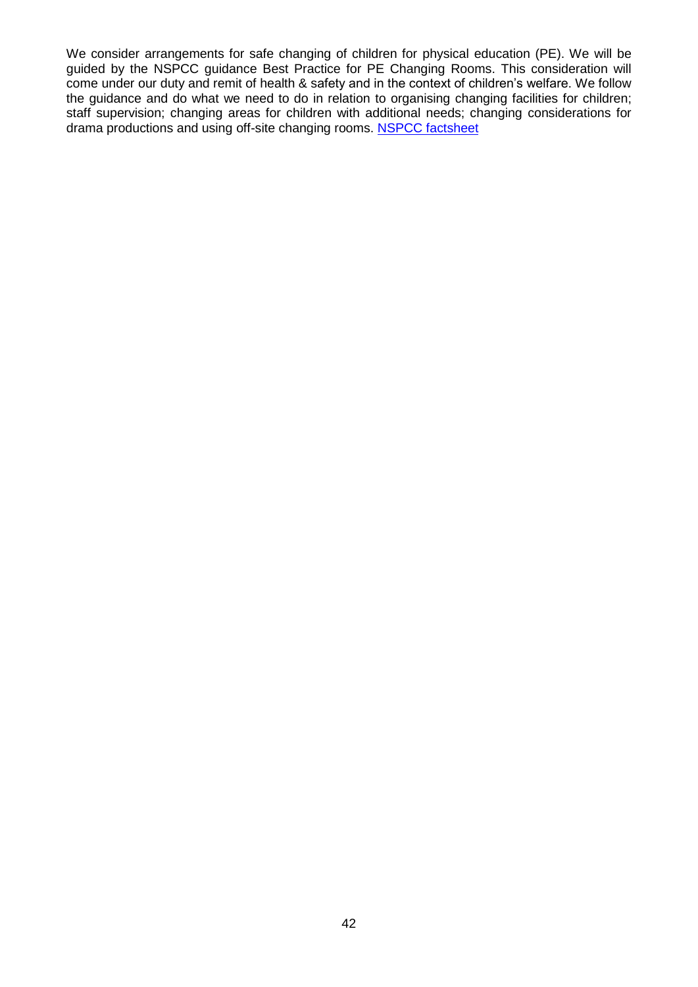We consider arrangements for safe changing of children for physical education (PE). We will be guided by the NSPCC guidance Best Practice for PE Changing Rooms. This consideration will come under our duty and remit of health & safety and in the context of children's welfare. We follow the guidance and do what we need to do in relation to organising changing facilities for children; staff supervision; changing areas for children with additional needs; changing considerations for drama productions and using off-site changing rooms. [NSPCC factsheet](https://www.nspcc.org.uk/globalassets/documents/information-service/schools-factsheet-best-practice-for-pe-changing-rooms.pdf)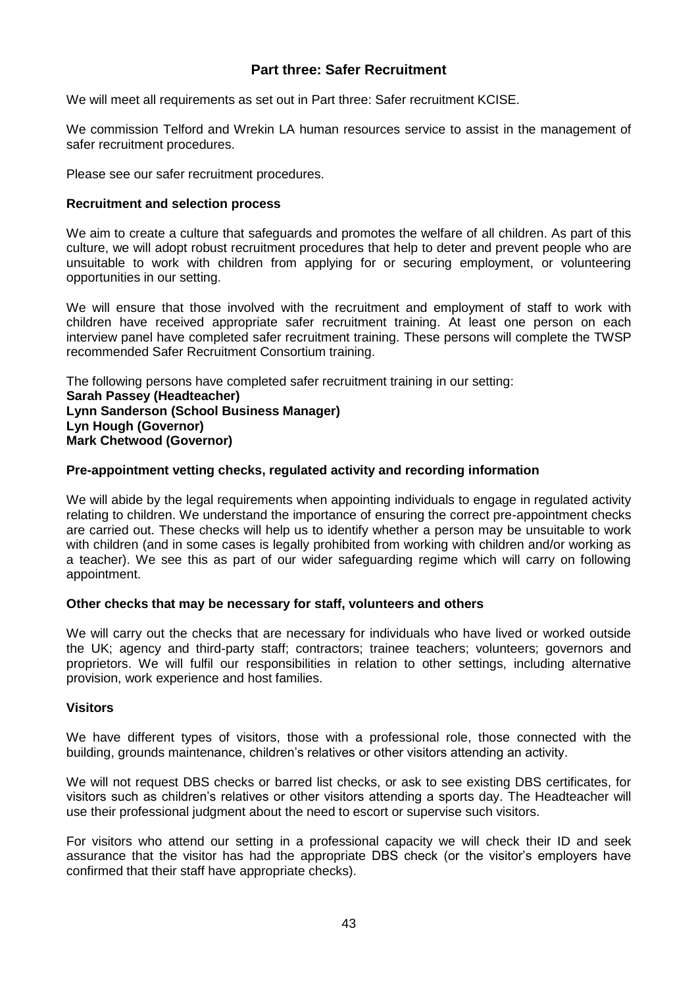# **Part three: Safer Recruitment**

We will meet all requirements as set out in Part three: Safer recruitment KCISE.

We commission Telford and Wrekin LA human resources service to assist in the management of safer recruitment procedures.

Please see our safer recruitment procedures.

#### **Recruitment and selection process**

We aim to create a culture that safeguards and promotes the welfare of all children. As part of this culture, we will adopt robust recruitment procedures that help to deter and prevent people who are unsuitable to work with children from applying for or securing employment, or volunteering opportunities in our setting.

We will ensure that those involved with the recruitment and employment of staff to work with children have received appropriate safer recruitment training. At least one person on each interview panel have completed safer recruitment training. These persons will complete the TWSP recommended Safer Recruitment Consortium training.

The following persons have completed safer recruitment training in our setting:

**Sarah Passey (Headteacher) Lynn Sanderson (School Business Manager) Lyn Hough (Governor) Mark Chetwood (Governor)**

#### **Pre-appointment vetting checks, regulated activity and recording information**

We will abide by the legal requirements when appointing individuals to engage in regulated activity relating to children. We understand the importance of ensuring the correct pre-appointment checks are carried out. These checks will help us to identify whether a person may be unsuitable to work with children (and in some cases is legally prohibited from working with children and/or working as a teacher). We see this as part of our wider safeguarding regime which will carry on following appointment.

# **Other checks that may be necessary for staff, volunteers and others**

We will carry out the checks that are necessary for individuals who have lived or worked outside the UK; agency and third-party staff; contractors; trainee teachers; volunteers; governors and proprietors. We will fulfil our responsibilities in relation to other settings, including alternative provision, work experience and host families.

#### **Visitors**

We have different types of visitors, those with a professional role, those connected with the building, grounds maintenance, children's relatives or other visitors attending an activity.

We will not request DBS checks or barred list checks, or ask to see existing DBS certificates, for visitors such as children's relatives or other visitors attending a sports day. The Headteacher will use their professional judgment about the need to escort or supervise such visitors.

For visitors who attend our setting in a professional capacity we will check their ID and seek assurance that the visitor has had the appropriate DBS check (or the visitor's employers have confirmed that their staff have appropriate checks).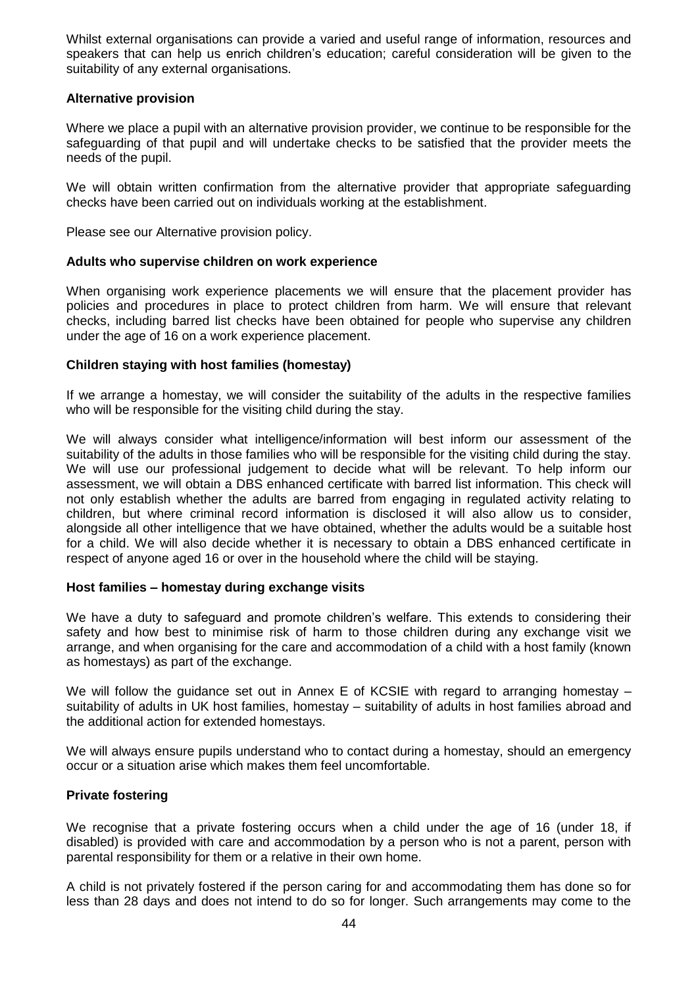Whilst external organisations can provide a varied and useful range of information, resources and speakers that can help us enrich children's education; careful consideration will be given to the suitability of any external organisations.

# **Alternative provision**

Where we place a pupil with an alternative provision provider, we continue to be responsible for the safeguarding of that pupil and will undertake checks to be satisfied that the provider meets the needs of the pupil.

We will obtain written confirmation from the alternative provider that appropriate safeguarding checks have been carried out on individuals working at the establishment.

Please see our Alternative provision policy.

#### **Adults who supervise children on work experience**

When organising work experience placements we will ensure that the placement provider has policies and procedures in place to protect children from harm. We will ensure that relevant checks, including barred list checks have been obtained for people who supervise any children under the age of 16 on a work experience placement.

#### **Children staying with host families (homestay)**

If we arrange a homestay, we will consider the suitability of the adults in the respective families who will be responsible for the visiting child during the stay.

We will always consider what intelligence/information will best inform our assessment of the suitability of the adults in those families who will be responsible for the visiting child during the stay. We will use our professional judgement to decide what will be relevant. To help inform our assessment, we will obtain a DBS enhanced certificate with barred list information. This check will not only establish whether the adults are barred from engaging in regulated activity relating to children, but where criminal record information is disclosed it will also allow us to consider, alongside all other intelligence that we have obtained, whether the adults would be a suitable host for a child. We will also decide whether it is necessary to obtain a DBS enhanced certificate in respect of anyone aged 16 or over in the household where the child will be staying.

#### **Host families – homestay during exchange visits**

We have a duty to safeguard and promote children's welfare. This extends to considering their safety and how best to minimise risk of harm to those children during any exchange visit we arrange, and when organising for the care and accommodation of a child with a host family (known as homestays) as part of the exchange.

We will follow the guidance set out in Annex E of KCSIE with regard to arranging homestay – suitability of adults in UK host families, homestay – suitability of adults in host families abroad and the additional action for extended homestays.

We will always ensure pupils understand who to contact during a homestay, should an emergency occur or a situation arise which makes them feel uncomfortable.

# **Private fostering**

We recognise that a private fostering occurs when a child under the age of 16 (under 18, if disabled) is provided with care and accommodation by a person who is not a parent, person with parental responsibility for them or a relative in their own home.

A child is not privately fostered if the person caring for and accommodating them has done so for less than 28 days and does not intend to do so for longer. Such arrangements may come to the